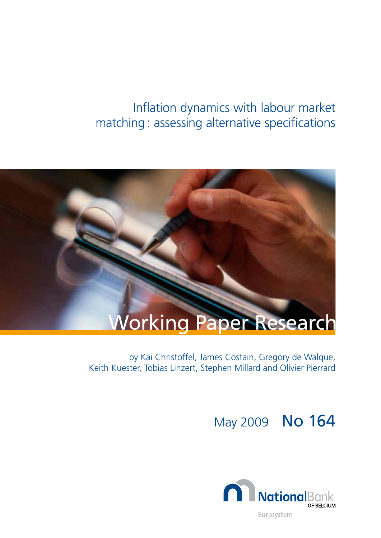# Inflation dynamics with labour market matching: assessing alternative specifications



by Kai Christoffel, James Costain, Gregory de Walque, Keith Kuester, Tobias Linzert, Stephen Millard and Olivier Pierrard

May 2009 No 164

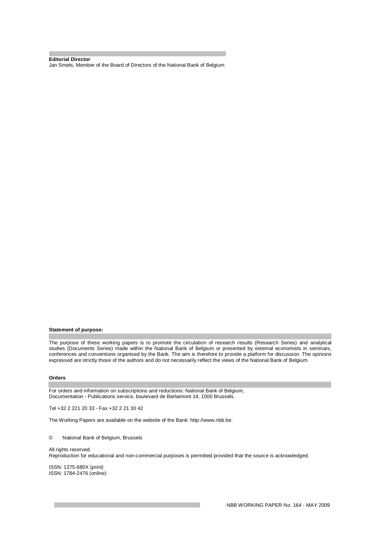**Editorial Director** Jan Smets, Member of the Board of Directors of the National Bank of Belgium

#### **Statement of purpose:**

The purpose of these working papers is to promote the circulation of research results (Research Series) and analytical studies (Documents Series) made within the National Bank of Belgium or presented by external economists in seminars, conferences and conventions organised by the Bank. The aim is therefore to provide a platform for discussion. The opinions expressed are strictly those of the authors and do not necessarily reflect the views of the National Bank of Belgium.

#### **Orders**

For orders and information on subscriptions and reductions: National Bank of Belgium, Documentation - Publications service, boulevard de Berlaimont 14, 1000 Brussels.

Tel +32 2 221 20 33 - Fax +32 2 21 30 42

The Working Papers are available on the website of the Bank: [http://www.nbb.be.](http://www.nbb.be./)

#### © National Bank of Belgium, Brussels

#### All rights reserved.

Reproduction for educational and non-commercial purposes is permitted provided that the source is acknowledged.

ISSN: 1375-680X (print) ISSN: 1784-2476 (online)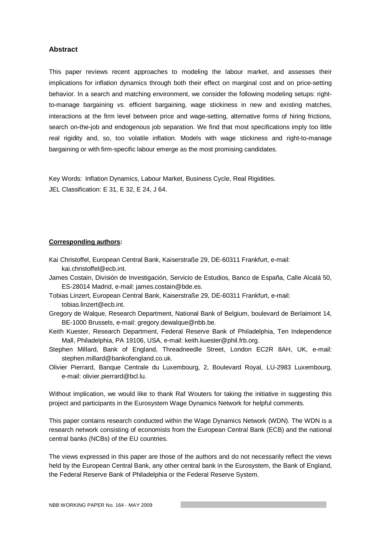#### **Abstract**

This paper reviews recent approaches to modeling the labour market, and assesses their implications for inflation dynamics through both their effect on marginal cost and on price-setting behavior. In a search and matching environment, we consider the following modeling setups: rightto-manage bargaining *vs.* efficient bargaining, wage stickiness in new and existing matches, interactions at the firm level between price and wage-setting, alternative forms of hiring frictions, search on-the-job and endogenous job separation. We find that most specifications imply too little real rigidity and, so, too volatile inflation. Models with wage stickiness and right-to-manage bargaining or with firm-specific labour emerge as the most promising candidates.

Key Words: Inflation Dynamics, Labour Market, Business Cycle, Real Rigidities. JEL Classification: E 31, E 32, E 24, J 64.

#### **Corresponding authors:**

- Kai Christoffel, European Central Bank, Kaiserstraße 29, DE-60311 Frankfurt, e-mail: [kai.christoffel@ecb.int.](mailto:kai.christoffel@ecb.int)
- James Costain, División de Investigación, Servicio de Estudios, Banco de España, Calle Alcalá 50, ES-28014 Madrid, e-mail: [james.costain@bde.es.](mailto:james.costain@bde.es)
- Tobias Linzert, European Central Bank, Kaiserstraße 29, DE-60311 Frankfurt, e-mail: [tobias.linzert@ecb.int](mailto:tobias.linzert@ecb.int).
- Gregory de Walque, Research Department, National Bank of Belgium, boulevard de Berlaimont 14, BE-1000 Brussels, e-mail: [gregory.dewalque@nbb.be.](mailto:gregory.dewalque@nbb.be)
- Keith Kuester, Research Department, Federal Reserve Bank of Philadelphia, Ten Independence Mall, Philadelphia, PA 19106, USA, e-mail: [keith.kuester@phil.frb.org.](mailto:keith.kuester@phil.frb.org)
- Stephen Millard, Bank of England, Threadneedle Street, London EC2R 8AH, UK, e-mail: [stephen.millard@bankofengland.co.uk.](mailto:stephen.millard@bankofengland.co.uk)
- Olivier Pierrard, Banque Centrale du Luxembourg, 2, Boulevard Royal, LU-2983 Luxembourg, e-mail: [olivier.pierrard@bcl.lu](mailto:olivier.pierrard@bcl.lu).

Without implication, we would like to thank Raf Wouters for taking the initiative in suggesting this project and participants in the Eurosystem Wage Dynamics Network for helpful comments.

This paper contains research conducted within the Wage Dynamics Network (WDN). The WDN is a research network consisting of economists from the European Central Bank (ECB) and the national central banks (NCBs) of the EU countries.

The views expressed in this paper are those of the authors and do not necessarily reflect the views held by the European Central Bank, any other central bank in the Eurosystem, the Bank of England, the Federal Reserve Bank of Philadelphia or the Federal Reserve System.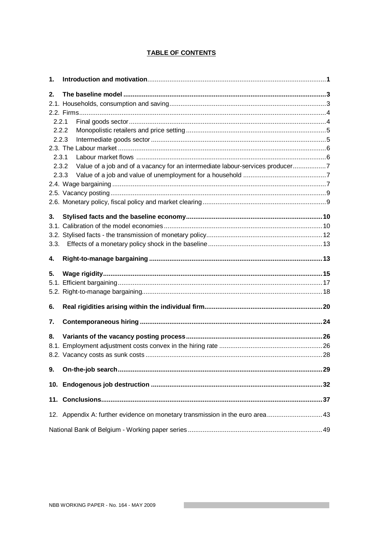### **TABLE OF CONTENTS**

| 1.    |                                                                               |  |
|-------|-------------------------------------------------------------------------------|--|
| 2.    |                                                                               |  |
|       |                                                                               |  |
| 2.2.1 |                                                                               |  |
| 2.2.2 |                                                                               |  |
| 2.2.3 |                                                                               |  |
| 2.3.1 |                                                                               |  |
| 2.3.2 | Value of a job and of a vacancy for an intermediate labour-services producer7 |  |
| 2.3.3 |                                                                               |  |
|       |                                                                               |  |
|       |                                                                               |  |
| 3.    |                                                                               |  |
|       |                                                                               |  |
| 3.3.  |                                                                               |  |
| 4.    |                                                                               |  |
|       |                                                                               |  |
| 5.    |                                                                               |  |
|       |                                                                               |  |
| 6.    |                                                                               |  |
| 7.    |                                                                               |  |
| 8.    |                                                                               |  |
|       |                                                                               |  |
|       |                                                                               |  |
| 9.    |                                                                               |  |
|       |                                                                               |  |
|       |                                                                               |  |
|       | 12. Appendix A: further evidence on monetary transmission in the euro area 43 |  |
|       |                                                                               |  |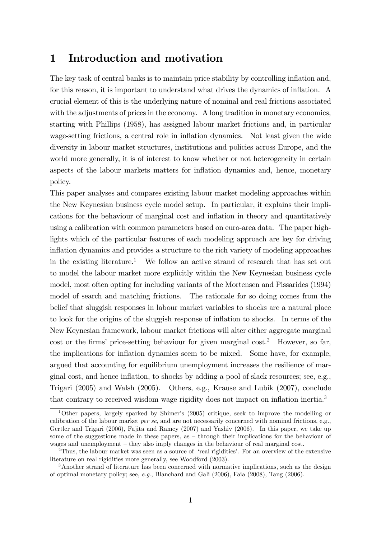## 1 Introduction and motivation

The key task of central banks is to maintain price stability by controlling inflation and, for this reason, it is important to understand what drives the dynamics of inflation. A crucial element of this is the underlying nature of nominal and real frictions associated with the adjustments of prices in the economy. A long tradition in monetary economics, starting with Phillips (1958), has assigned labour market frictions and, in particular wage-setting frictions, a central role in inflation dynamics. Not least given the wide diversity in labour market structures, institutions and policies across Europe, and the world more generally, it is of interest to know whether or not heterogeneity in certain aspects of the labour markets matters for inflation dynamics and, hence, monetary policy.

This paper analyses and compares existing labour market modeling approaches within the New Keynesian business cycle model setup. In particular, it explains their implications for the behaviour of marginal cost and inflation in theory and quantitatively using a calibration with common parameters based on euro-area data. The paper highlights which of the particular features of each modeling approach are key for driving inflation dynamics and provides a structure to the rich variety of modeling approaches in the existing literature.<sup>1</sup> We follow an active strand of research that has set out to model the labour market more explicitly within the New Keynesian business cycle model, most often opting for including variants of the Mortensen and Pissarides (1994) model of search and matching frictions. The rationale for so doing comes from the belief that sluggish responses in labour market variables to shocks are a natural place to look for the origins of the sluggish response of inflation to shocks. In terms of the New Keynesian framework, labour market frictions will alter either aggregate marginal cost or the firms' price-setting behaviour for given marginal cost.<sup>2</sup> However, so far, the implications for inflation dynamics seem to be mixed. Some have, for example, argued that accounting for equilibrium unemployment increases the resilience of marginal cost, and hence ináation, to shocks by adding a pool of slack resources; see, e.g., Trigari (2005) and Walsh (2005). Others, e.g., Krause and Lubik (2007), conclude that contrary to received wisdom wage rigidity does not impact on inflation inertia.<sup>3</sup>

<sup>&</sup>lt;sup>1</sup>Other papers, largely sparked by Shimer's  $(2005)$  critique, seek to improve the modelling or calibration of the labour market *per se*, and are not necessarily concerned with nominal frictions, e.g., Gertler and Trigari (2006), Fujita and Ramey (2007) and Yashiv (2006). In this paper, we take up some of the suggestions made in these papers, as  $-$  through their implications for the behaviour of wages and unemployment  $-$  they also imply changes in the behaviour of real marginal cost.

 $2$ Thus, the labour market was seen as a source of 'real rigidities'. For an overview of the extensive literature on real rigidities more generally, see Woodford (2003).

<sup>&</sup>lt;sup>3</sup>Another strand of literature has been concerned with normative implications, such as the design of optimal monetary policy; see, e.g., Blanchard and Gali (2006), Faia (2008), Tang (2006).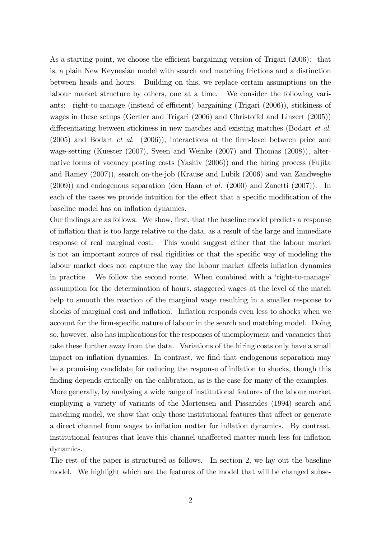As a starting point, we choose the efficient bargaining version of Trigari  $(2006)$ : that is, a plain New Keynesian model with search and matching frictions and a distinction between heads and hours. Building on this, we replace certain assumptions on the labour market structure by others, one at a time. We consider the following variants: right-to-manage (instead of efficient) bargaining (Trigari  $(2006)$ ), stickiness of wages in these setups (Gertler and Trigari  $(2006)$  and Christoffel and Linzert  $(2005)$ ) differentiating between stickiness in new matches and existing matches (Bodart  $et al$ .  $(2005)$  and Bodart *et al.*  $(2006)$ , interactions at the firm-level between price and wage-setting (Kuester (2007), Sveen and Weinke (2007) and Thomas (2008)), alternative forms of vacancy posting costs (Yashiv (2006)) and the hiring process (Fujita and Ramey (2007)), search on-the-job (Krause and Lubik (2006) and van Zandweghe  $(2009)$ ) and endogenous separation (den Haan *et al.*  $(2000)$  and Zanetti  $(2007)$ ). In each of the cases we provide intuition for the effect that a specific modification of the baseline model has on inflation dynamics.

Our findings are as follows. We show, first, that the baseline model predicts a response of ináation that is too large relative to the data, as a result of the large and immediate response of real marginal cost. This would suggest either that the labour market is not an important source of real rigidities or that the specific way of modeling the labour market does not capture the way the labour market affects inflation dynamics in practice. We follow the second route. When combined with a 'right-to-manage' assumption for the determination of hours, staggered wages at the level of the match help to smooth the reaction of the marginal wage resulting in a smaller response to shocks of marginal cost and inflation. Inflation responds even less to shocks when we account for the firm-specific nature of labour in the search and matching model. Doing so, however, also has implications for the responses of unemployment and vacancies that take these further away from the data. Variations of the hiring costs only have a small impact on inflation dynamics. In contrast, we find that endogenous separation may be a promising candidate for reducing the response of inflation to shocks, though this finding depends critically on the calibration, as is the case for many of the examples. More generally, by analysing a wide range of institutional features of the labour market employing a variety of variants of the Mortensen and Pissarides (1994) search and matching model, we show that only those institutional features that affect or generate a direct channel from wages to inflation matter for inflation dynamics. By contrast, institutional features that leave this channel unaffected matter much less for inflation

The rest of the paper is structured as follows. In section 2, we lay out the baseline model. We highlight which are the features of the model that will be changed subse-

dynamics.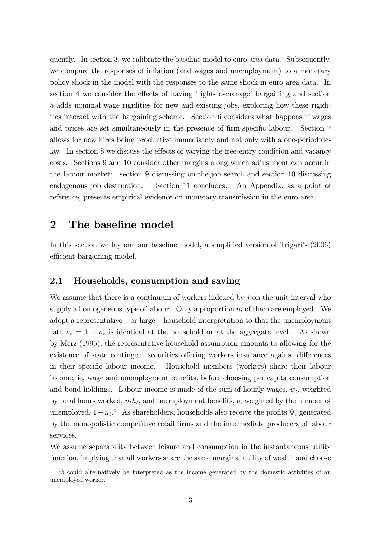quently. In section 3, we calibrate the baseline model to euro area data. Subsequently, we compare the responses of inflation (and wages and unemployment) to a monetary policy shock in the model with the responses to the same shock in euro area data. In section 4 we consider the effects of having 'right-to-manage' bargaining and section 5 adds nominal wage rigidities for new and existing jobs, exploring how these rigidities interact with the bargaining scheme. Section 6 considers what happens if wages and prices are set simultaneously in the presence of firm-specific labour. Section 7 allows for new hires being productive immediately and not only with a one-period delay. In section 8 we discuss the effects of varying the free-entry condition and vacancy costs. Sections 9 and 10 consider other margins along which adjustment can occur in the labour market: section 9 discussing on-the-job search and section 10 discussing endogenous job destruction. Section 11 concludes. An Appendix, as a point of reference, presents empirical evidence on monetary transmission in the euro area.

## 2 The baseline model

In this section we lay out our baseline model, a simplified version of Trigari's (2006) efficient bargaining model.

### 2.1 Households, consumption and saving

We assume that there is a continuum of workers indexed by  $j$  on the unit interval who supply a homogeneous type of labour. Only a proportion  $n_t$  of them are employed. We adopt a representative  $-$  or large  $-$  household interpretation so that the unemployment rate  $u_t = 1 - n_t$  is identical at the household or at the aggregate level. As shown by Merz (1995), the representative household assumption amounts to allowing for the existence of state contingent securities offering workers insurance against differences in their specific labour income. Household members (workers) share their labour income, ie, wage and unemployment benefits, before choosing per capita consumption and bond holdings. Labour income is made of the sum of hourly wages,  $w_t$ , weighted by total hours worked,  $n<sub>t</sub>h<sub>t</sub>$ , and unemployment benefits, b, weighted by the number of unemployed,  $1 - n_t$ <sup>4</sup> As shareholders, households also receive the profits  $\Psi_t$  generated by the monopolistic competitive retail Örms and the intermediate producers of labour services.

We assume separability between leisure and consumption in the instantaneous utility function, implying that all workers share the same marginal utility of wealth and choose

 $4b$  could alternatively be interpreted as the income generated by the domestic activities of an unemployed worker.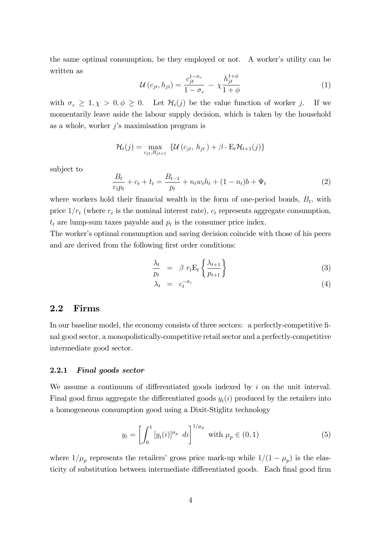the same optimal consumption, be they employed or not. A worker's utility can be written as

$$
\mathcal{U}\left(c_{jt}, h_{jt}\right) = \frac{c_{jt}^{1-\sigma_c}}{1-\sigma_c} - \chi \frac{h_{jt}^{1+\phi}}{1+\phi}
$$
\n
$$
\tag{1}
$$

with  $\sigma_c \geq 1, \chi > 0, \phi \geq 0$ . Let  $\mathcal{H}_t(j)$  be the value function of worker j. If we momentarily leave aside the labour supply decision, which is taken by the household as a whole, worker  $j$ 's maximisation program is

$$
\mathcal{H}_t(j) = \max_{c_{jt}, B_{jt+1}} \left\{ \mathcal{U}\left(c_{jt}, h_{jt}\right) + \beta \cdot \mathbf{E}_t \mathcal{H}_{t+1}(j) \right\}
$$

subject to

$$
\frac{B_t}{r_t p_t} + c_t + t_t = \frac{B_{t-1}}{p_t} + n_t w_t h_t + (1 - n_t) b + \Psi_t
$$
\n(2)

where workers hold their financial wealth in the form of one-period bonds,  $B_t$ , with price  $1/r_t$  (where  $r_t$  is the nominal interest rate),  $c_t$  represents aggregate consumption,  $t_t$  are lump-sum taxes payable and  $p_t$  is the consumer price index.

The worker's optimal consumption and saving decision coincide with those of his peers and are derived from the following first order conditions:

$$
\frac{\lambda_t}{p_t} = \beta r_t \mathbf{E}_t \left\{ \frac{\lambda_{t+1}}{p_{t+1}} \right\} \tag{3}
$$

$$
\lambda_t = c_t^{-\sigma_c} \tag{4}
$$

### 2.2 Firms

In our baseline model, the economy consists of three sectors: a perfectly-competitive final good sector, a monopolistically-competitive retail sector and a perfectly-competitive intermediate good sector.

#### 2.2.1 Final goods sector

We assume a continuum of differentiated goods indexed by  $i$  on the unit interval. Final good firms aggregate the differentiated goods  $y_t(i)$  produced by the retailers into a homogeneous consumption good using a Dixit-Stiglitz technology

$$
y_t = \left[ \int_0^1 [y_t(i)]^{\mu_p} \ dt \right]^{1/\mu_p} \ \text{with } \mu_p \in (0, 1)
$$
 (5)

where  $1/\mu_p$  represents the retailers' gross price mark-up while  $1/(1 - \mu_p)$  is the elasticity of substitution between intermediate differentiated goods. Each final good firm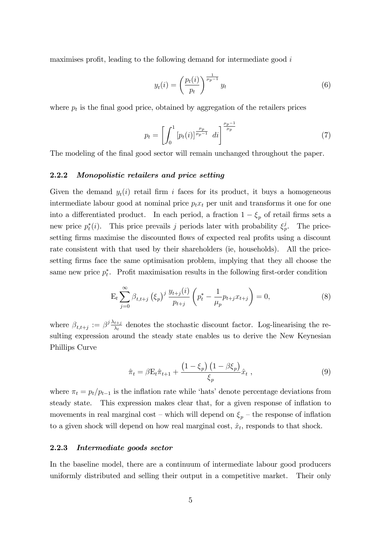maximises profit, leading to the following demand for intermediate good  $i$ 

$$
y_t(i) = \left(\frac{p_t(i)}{p_t}\right)^{\frac{1}{\mu_p - 1}} y_t \tag{6}
$$

where  $p_t$  is the final good price, obtained by aggregation of the retailers prices

$$
p_t = \left[ \int_0^1 \left[ p_t(i) \right]^{\frac{\mu_p}{\mu_p - 1}} \, di \right]^{\frac{\mu_p - 1}{\mu_p}} \tag{7}
$$

The modeling of the final good sector will remain unchanged throughout the paper.

#### 2.2.2 Monopolistic retailers and price setting

Given the demand  $y_t(i)$  retail firm i faces for its product, it buys a homogeneous intermediate labour good at nominal price  $p_t x_t$  per unit and transforms it one for one into a differentiated product. In each period, a fraction  $1 - \xi_p$  of retail firms sets a new price  $p_t^*(i)$ . This price prevails j periods later with probability  $\xi_t^j$  $_p^j$ . The pricesetting firms maximise the discounted flows of expected real profits using a discount rate consistent with that used by their shareholders (ie, households). All the pricesetting firms face the same optimisation problem, implying that they all choose the same new price  $p_t^*$ . Profit maximisation results in the following first-order condition

$$
\mathcal{E}_{t} \sum_{j=0}^{\infty} \beta_{t,t+j} \left(\xi_{p}\right)^{j} \frac{y_{t+j}(i)}{p_{t+j}} \left(p_{t}^{*} - \frac{1}{\mu_{p}} p_{t+j} x_{t+j}\right) = 0, \tag{8}
$$

where  $\beta_{t,t+j} := \beta^j \frac{\lambda_{t+j}}{\lambda_t}$  $\frac{t+j}{\lambda_t}$  denotes the stochastic discount factor. Log-linearising the resulting expression around the steady state enables us to derive the New Keynesian Phillips Curve

$$
\hat{\pi}_t = \beta \mathbf{E}_t \hat{\pi}_{t+1} + \frac{\left(1 - \xi_p\right) \left(1 - \beta \xi_p\right)}{\xi_p} \hat{x}_t , \qquad (9)
$$

where  $\pi_t = p_t/p_{t-1}$  is the inflation rate while 'hats' denote percentage deviations from steady state. This expression makes clear that, for a given response of ináation to movements in real marginal cost – which will depend on  $\xi_p$  – the response of inflation to a given shock will depend on how real marginal cost,  $\hat{x}_t$ , responds to that shock.

#### 2.2.3 Intermediate goods sector

In the baseline model, there are a continuum of intermediate labour good producers uniformly distributed and selling their output in a competitive market. Their only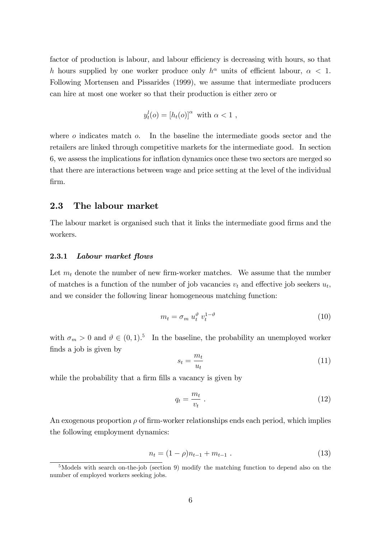factor of production is labour, and labour efficiency is decreasing with hours, so that h hours supplied by one worker produce only  $h^{\alpha}$  units of efficient labour,  $\alpha$  < 1. Following Mortensen and Pissarides (1999), we assume that intermediate producers can hire at most one worker so that their production is either zero or

$$
y_t^l(o) = [h_t(o)]^\alpha \text{ with } \alpha < 1 ,
$$

where  $\sigma$  indicates match  $\sigma$ . In the baseline the intermediate goods sector and the retailers are linked through competitive markets for the intermediate good. In section 6, we assess the implications for ináation dynamics once these two sectors are merged so that there are interactions between wage and price setting at the level of the individual Örm.

### 2.3 The labour market

The labour market is organised such that it links the intermediate good firms and the workers.

#### 2.3.1 Labour market flows

Let  $m_t$  denote the number of new firm-worker matches. We assume that the number of matches is a function of the number of job vacancies  $v_t$  and effective job seekers  $u_t$ , and we consider the following linear homogeneous matching function:

$$
m_t = \sigma_m u_t^{\vartheta} v_t^{1-\vartheta} \tag{10}
$$

with  $\sigma_m > 0$  and  $\vartheta \in (0, 1)$ .<sup>5</sup> In the baseline, the probability an unemployed worker finds a job is given by

$$
s_t = \frac{m_t}{u_t} \tag{11}
$$

while the probability that a firm fills a vacancy is given by

$$
q_t = \frac{m_t}{v_t} \tag{12}
$$

An exogenous proportion  $\rho$  of firm-worker relationships ends each period, which implies the following employment dynamics:

$$
n_t = (1 - \rho)n_{t-1} + m_{t-1} \tag{13}
$$

<sup>&</sup>lt;sup>5</sup>Models with search on-the-job (section 9) modify the matching function to depend also on the number of employed workers seeking jobs.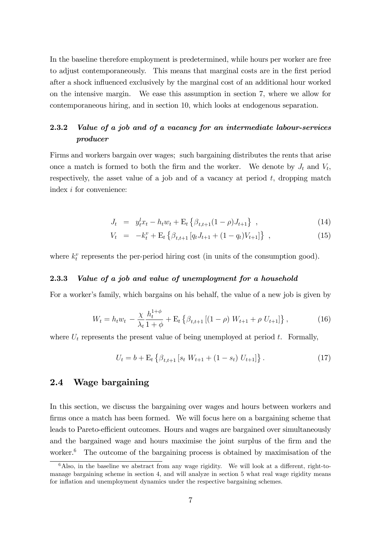In the baseline therefore employment is predetermined, while hours per worker are free to adjust contemporaneously. This means that marginal costs are in the first period after a shock influenced exclusively by the marginal cost of an additional hour worked on the intensive margin. We ease this assumption in section 7, where we allow for contemporaneous hiring, and in section 10, which looks at endogenous separation.

### 2.3.2 Value of a job and of a vacancy for an intermediate labour-services producer

Firms and workers bargain over wages; such bargaining distributes the rents that arise once a match is formed to both the firm and the worker. We denote by  $J_t$  and  $V_t$ , respectively, the asset value of a job and of a vacancy at period  $t$ , dropping match index i for convenience:

$$
J_t = y_t^l x_t - h_t w_t + \mathcal{E}_t \left\{ \beta_{t,t+1} (1 - \rho) J_{t+1} \right\} , \qquad (14)
$$

$$
V_t = -k_t^v + \mathcal{E}_t \left\{ \beta_{t,t+1} \left[ q_t J_{t+1} + (1 - q_t) V_{t+1} \right] \right\} , \qquad (15)
$$

where  $k_t^v$  represents the per-period hiring cost (in units of the consumption good).

#### 2.3.3 Value of a job and value of unemployment for a household

For a worker's family, which bargains on his behalf, the value of a new job is given by

$$
W_t = h_t w_t - \frac{\chi}{\lambda_t} \frac{h_t^{1+\phi}}{1+\phi} + \mathcal{E}_t \left\{ \beta_{t,t+1} \left[ (1-\rho) W_{t+1} + \rho U_{t+1} \right] \right\},\tag{16}
$$

where  $U_t$  represents the present value of being unemployed at period t. Formally,

$$
U_t = b + \mathcal{E}_t \left\{ \beta_{t,t+1} \left[ s_t W_{t+1} + (1 - s_t) U_{t+1} \right] \right\}.
$$
 (17)

### 2.4 Wage bargaining

In this section, we discuss the bargaining over wages and hours between workers and firms once a match has been formed. We will focus here on a bargaining scheme that leads to Pareto-efficient outcomes. Hours and wages are bargained over simultaneously and the bargained wage and hours maximise the joint surplus of the firm and the worker.<sup>6</sup> The outcome of the bargaining process is obtained by maximisation of the

 $6$ Also, in the baseline we abstract from any wage rigidity. We will look at a different, right-tomanage bargaining scheme in section 4, and will analyze in section 5 what real wage rigidity means for inflation and unemployment dynamics under the respective bargaining schemes.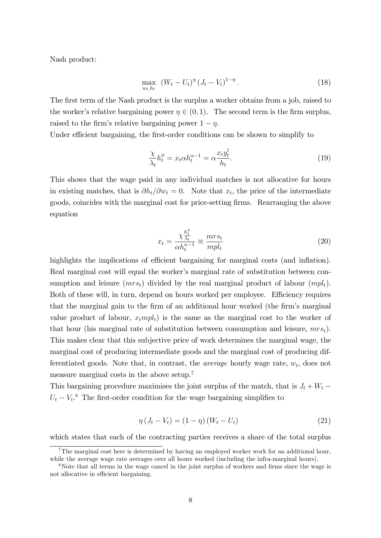Nash product:

$$
\max_{w_t, h_t} \ (W_t - U_t)^{\eta} (J_t - V_t)^{1 - \eta} \,. \tag{18}
$$

The first term of the Nash product is the surplus a worker obtains from a job, raised to the worker's relative bargaining power  $\eta \in (0, 1)$ . The second term is the firm surplus, raised to the firm's relative bargaining power  $1 - \eta$ .

Under efficient bargaining, the first-order conditions can be shown to simplify to

$$
\frac{\chi}{\lambda_t} h_t^{\phi} = x_t \alpha h_t^{\alpha - 1} = \alpha \frac{x_t y_t^l}{h_t}.
$$
\n(19)

This shows that the wage paid in any individual matches is not allocative for hours in existing matches, that is  $\partial h_t/\partial w_t = 0$ . Note that  $x_t$ , the price of the intermediate goods, coincides with the marginal cost for price-setting Örms. Rearranging the above equation

$$
x_t = \frac{\chi_{\lambda_t}^{\frac{h_t^{\phi}}{\lambda_t}}}{\alpha h_t^{\alpha - 1}} \equiv \frac{mrs_t}{mpl_t} \tag{20}
$$

highlights the implications of efficient bargaining for marginal costs (and inflation). Real marginal cost will equal the worker's marginal rate of substitution between consumption and leisure  $(mrs_t)$  divided by the real marginal product of labour  $(mpl_t)$ . Both of these will, in turn, depend on hours worked per employee. Efficiency requires that the marginal gain to the firm of an additional hour worked (the firm's marginal value product of labour,  $x<sub>t</sub>mpl<sub>t</sub>$  is the same as the marginal cost to the worker of that hour (his marginal rate of substitution between consumption and leisure,  $mrs_t$ ). This makes clear that this subjective price of work determines the marginal wage, the marginal cost of producing intermediate goods and the marginal cost of producing differentiated goods. Note that, in contrast, the *average* hourly wage rate,  $w_t$ , does not measure marginal costs in the above setup.<sup>7</sup>

This bargaining procedure maximises the joint surplus of the match, that is  $J_t + W_t$  –  $U_t - V_t$ <sup>8</sup>. The first-order condition for the wage bargaining simplifies to

$$
\eta (J_t - V_t) = (1 - \eta) (W_t - U_t) \tag{21}
$$

which states that each of the contracting parties receives a share of the total surplus

<sup>&</sup>lt;sup>7</sup>The marginal cost here is determined by having an employed worker work for an additional hour, while the average wage rate averages over all hours worked (including the infra-marginal hours).

<sup>&</sup>lt;sup>8</sup>Note that all terms in the wage cancel in the joint surplus of workers and firms since the wage is not allocative in efficient bargaining.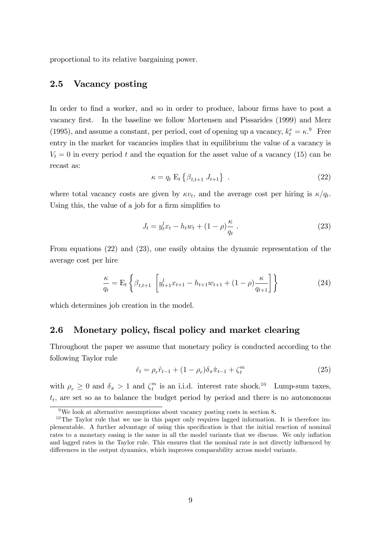proportional to its relative bargaining power.

### 2.5 Vacancy posting

In order to find a worker, and so in order to produce, labour firms have to post a vacancy Örst. In the baseline we follow Mortensen and Pissarides (1999) and Merz (1995), and assume a constant, per period, cost of opening up a vacancy,  $k_t^v = \kappa$ .<sup>9</sup> Free entry in the market for vacancies implies that in equilibrium the value of a vacancy is  $V_t = 0$  in every period t and the equation for the asset value of a vacancy (15) can be recast as:

$$
\kappa = q_t \mathbf{E}_t \left\{ \beta_{t,t+1} \, J_{t+1} \right\} \tag{22}
$$

where total vacancy costs are given by  $\kappa v_t$ , and the average cost per hiring is  $\kappa / q_t$ . Using this, the value of a job for a firm simplifies to

$$
J_t = y_t^l x_t - h_t w_t + (1 - \rho) \frac{\kappa}{q_t} \,. \tag{23}
$$

From equations (22) and (23), one easily obtains the dynamic representation of the average cost per hire

$$
\frac{\kappa}{q_t} = \mathcal{E}_t \left\{ \beta_{t,t+1} \left[ y_{t+1}^l x_{t+1} - h_{t+1} w_{t+1} + (1 - \rho) \frac{\kappa}{q_{t+1}} \right] \right\} \tag{24}
$$

which determines job creation in the model.

#### 2.6 Monetary policy, fiscal policy and market clearing

Throughout the paper we assume that monetary policy is conducted according to the following Taylor rule

$$
\hat{r}_t = \rho_r \hat{r}_{t-1} + (1 - \rho_r) \delta_\pi \hat{\pi}_{t-1} + \zeta_t^m \tag{25}
$$

with  $\rho_r \geq 0$  and  $\delta_{\pi} > 1$  and  $\zeta_t^m$  $_t^m$  is an i.i.d. interest rate shock.<sup>10</sup> Lump-sum taxes,  $t_t$ , are set so as to balance the budget period by period and there is no autonomous

<sup>9</sup>We look at alternative assumptions about vacancy posting costs in section 8.

<sup>&</sup>lt;sup>10</sup>The Taylor rule that we use in this paper only requires lagged information. It is therefore implementable. A further advantage of using this specification is that the initial reaction of nominal rates to a monetary easing is the same in all the model variants that we discuss. We only inflation and lagged rates in the Taylor rule. This ensures that the nominal rate is not directly influenced by differences in the output dynamics, which improves comparability across model variants.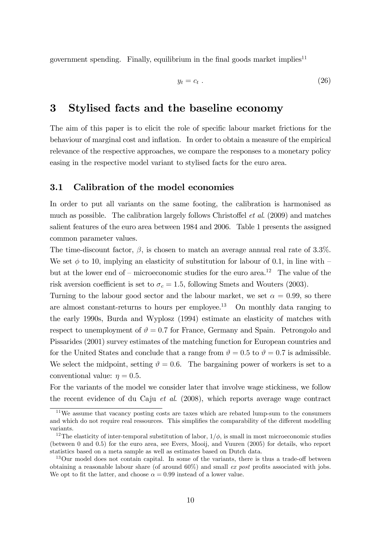government spending. Finally, equilibrium in the final goods market implies<sup>11</sup>

$$
y_t = c_t \tag{26}
$$

### 3 Stylised facts and the baseline economy

The aim of this paper is to elicit the role of specific labour market frictions for the behaviour of marginal cost and ináation. In order to obtain a measure of the empirical relevance of the respective approaches, we compare the responses to a monetary policy easing in the respective model variant to stylised facts for the euro area.

### 3.1 Calibration of the model economies

In order to put all variants on the same footing, the calibration is harmonised as much as possible. The calibration largely follows Christoffel *et al.* (2009) and matches salient features of the euro area between 1984 and 2006. Table 1 presents the assigned common parameter values.

The time-discount factor,  $\beta$ , is chosen to match an average annual real rate of 3.3%. We set  $\phi$  to 10, implying an elasticity of substitution for labour of 0.1, in line with  $\overline{\phantom{a}}$ but at the lower end of  $-$  microeconomic studies for the euro area.<sup>12</sup> The value of the risk aversion coefficient is set to  $\sigma_c = 1.5$ , following Smets and Wouters (2003).

Turning to the labour good sector and the labour market, we set  $\alpha = 0.99$ , so there are almost constant-returns to hours per employee.<sup>13</sup> On monthly data ranging to the early 1990s, Burda and Wyplosz (1994) estimate an elasticity of matches with respect to unemployment of  $\vartheta = 0.7$  for France, Germany and Spain. Petrongolo and Pissarides (2001) survey estimates of the matching function for European countries and for the United States and conclude that a range from  $\vartheta = 0.5$  to  $\vartheta = 0.7$  is admissible. We select the midpoint, setting  $\vartheta = 0.6$ . The bargaining power of workers is set to a conventional value:  $\eta = 0.5$ .

For the variants of the model we consider later that involve wage stickiness, we follow the recent evidence of du Caju et al. (2008), which reports average wage contract

<sup>11</sup>We assume that vacancy posting costs are taxes which are rebated lump-sum to the consumers and which do not require real ressources. This simplifies the comparability of the different modelling variants.

<sup>&</sup>lt;sup>12</sup>The elasticity of inter-temporal substitution of labor,  $1/\phi$ , is small in most microeconomic studies (between 0 and 0.5) for the euro area, see Evers, Mooij, and Vuuren (2005) for details, who report statistics based on a meta sample as well as estimates based on Dutch data.

 $13$ Our model does not contain capital. In some of the variants, there is thus a trade-off between obtaining a reasonable labour share (of around  $60\%$ ) and small *ex post* profits associated with jobs. We opt to fit the latter, and choose  $\alpha = 0.99$  instead of a lower value.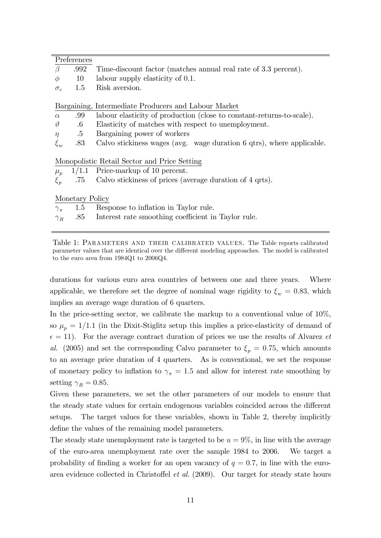| $\beta$<br>Time-discount factor (matches annual real rate of 3.3 percent).<br>.992       |  |
|------------------------------------------------------------------------------------------|--|
| labour supply elasticity of 0.1.<br>10<br>$\phi$                                         |  |
| Risk aversion.<br>1.5<br>$\sigma_c$                                                      |  |
|                                                                                          |  |
| Bargaining, Intermediate Producers and Labour Market                                     |  |
| labour elasticity of production (close to constant-returns-to-scale).<br>.99<br>$\alpha$ |  |
| $\vartheta$<br>$.6\,$<br>Elasticity of matches with respect to unemployment.             |  |
| $.5\,$<br>Bargaining power of workers<br>$\eta$                                          |  |
| .83<br>Calvo stickiness wages (avg. wage duration 6 qtrs), where applicable.<br>$\xi_w$  |  |
|                                                                                          |  |
| Monopolistic Retail Sector and Price Setting                                             |  |
| $1/1.1$ Price-markup of 10 percent.<br>$\mu_p$                                           |  |
| Calvo stickiness of prices (average duration of 4 qrts).<br>$\xi_p$<br>.75               |  |
|                                                                                          |  |
| Monetary Policy                                                                          |  |
| Response to inflation in Taylor rule.<br>$1.5\,$<br>$\gamma_{\pi}$                       |  |
| .85<br>Interest rate smoothing coefficient in Taylor rule.<br>$\gamma_R$                 |  |

Table 1: PARAMETERS AND THEIR CALIBRATED VALUES. The Table reports calibrated parameter values that are identical over the different modeling approaches. The model is calibrated to the euro area from 1984Q1 to 2006Q4.

durations for various euro area countries of between one and three years. Where applicable, we therefore set the degree of nominal wage rigidity to  $\xi_w = 0.83$ , which implies an average wage duration of 6 quarters.

In the price-setting sector, we calibrate the markup to a conventional value of 10%, so  $\mu_p = 1/1.1$  (in the Dixit-Stiglitz setup this implies a price-elasticity of demand of  $\epsilon = 11$ ). For the average contract duration of prices we use the results of Alvarez et al. (2005) and set the corresponding Calvo parameter to  $\xi_p = 0.75$ , which amounts to an average price duration of 4 quarters. As is conventional, we set the response of monetary policy to inflation to  $\gamma_{\pi} = 1.5$  and allow for interest rate smoothing by setting  $\gamma_R = 0.85$ .

Given these parameters, we set the other parameters of our models to ensure that the steady state values for certain endogenous variables coincided across the different setups. The target values for these variables, shown in Table 2, thereby implicitly define the values of the remaining model parameters.

The steady state unemployment rate is targeted to be  $u = 9\%$ , in line with the average of the euro-area unemployment rate over the sample 1984 to 2006. We target a probability of finding a worker for an open vacancy of  $q = 0.7$ , in line with the euroarea evidence collected in Christoffel et al.  $(2009)$ . Our target for steady state hours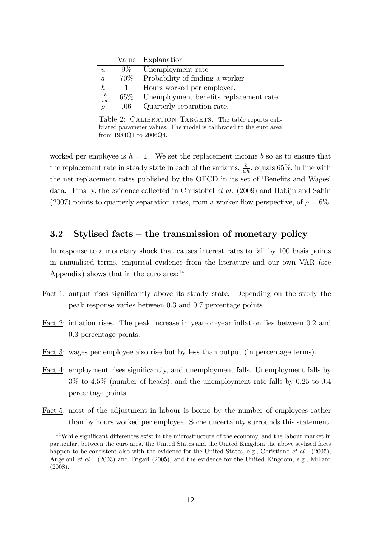|                |        | Value Explanation                       |
|----------------|--------|-----------------------------------------|
| u              | $9\%$  | Unemployment rate                       |
| q              | 70\%   | Probability of finding a worker         |
| h              |        | Hours worked per employee.              |
| $\frac{b}{wh}$ | $65\%$ | Unemployment benefits replacement rate. |
| $\rho$         | .06    | Quarterly separation rate.              |

Table 2: CALIBRATION TARGETS. The table reports calibrated parameter values. The model is calibrated to the euro area from 1984Q1 to 2006Q4.

worked per employee is  $h = 1$ . We set the replacement income b so as to ensure that the replacement rate in steady state in each of the variants,  $\frac{b}{wh}$ , equals 65%, in line with the net replacement rates published by the OECD in its set of 'Benefits and Wages' data. Finally, the evidence collected in Christoffel *et al.* (2009) and Hobijn and Sahin (2007) points to quarterly separation rates, from a worker flow perspective, of  $\rho = 6\%$ .

### 3.2 Stylised facts – the transmission of monetary policy

In response to a monetary shock that causes interest rates to fall by 100 basis points in annualised terms, empirical evidence from the literature and our own VAR (see Appendix) shows that in the euro area: $14$ 

- Fact 1: output rises significantly above its steady state. Depending on the study the peak response varies between 0.3 and 0.7 percentage points.
- Fact 2: inflation rises. The peak increase in year-on-year inflation lies between 0.2 and 0.3 percentage points.
- Fact 3: wages per employee also rise but by less than output (in percentage terms).
- Fact 4: employment rises significantly, and unemployment falls. Unemployment falls by 3% to 4.5% (number of heads), and the unemployment rate falls by 0.25 to 0.4 percentage points.
- Fact 5: most of the adjustment in labour is borne by the number of employees rather than by hours worked per employee. Some uncertainty surrounds this statement,

 $14$ While significant differences exist in the microstructure of the economy, and the labour market in particular, between the euro area, the United States and the United Kingdom the above stylised facts happen to be consistent also with the evidence for the United States, e.g., Christiano *et al.* (2005), Angeloni et al. (2003) and Trigari (2005), and the evidence for the United Kingdom, e.g., Millard (2008).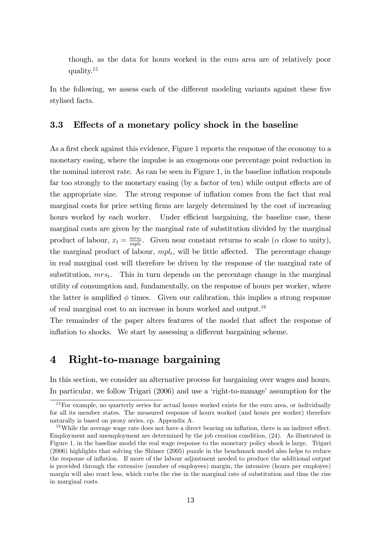though, as the data for hours worked in the euro area are of relatively poor quality.<sup>15</sup>

In the following, we assess each of the different modeling variants against these five stylised facts.

### 3.3 Effects of a monetary policy shock in the baseline

As a first check against this evidence, Figure 1 reports the response of the economy to a monetary easing, where the impulse is an exogenous one percentage point reduction in the nominal interest rate. As can be seen in Figure 1, in the baseline inflation responds far too strongly to the monetary easing (by a factor of ten) while output effects are of the appropriate size. The strong response of inflation comes from the fact that real marginal costs for price setting firms are largely determined by the cost of increasing hours worked by each worker. Under efficient bargaining, the baseline case, these marginal costs are given by the marginal rate of substitution divided by the marginal product of labour,  $x_t = \frac{mrs_t}{mnl_t}$  $\frac{mrs_t}{mpl_t}$ . Given near constant returns to scale ( $\alpha$  close to unity), the marginal product of labour,  $mpl_t$ , will be little affected. The percentage change in real marginal cost will therefore be driven by the response of the marginal rate of substitution,  $mrs_t$ . This in turn depends on the percentage change in the marginal utility of consumption and, fundamentally, on the response of hours per worker, where the latter is amplified  $\phi$  times. Given our calibration, this implies a strong response of real marginal cost to an increase in hours worked and output.<sup>16</sup>

The remainder of the paper alters features of the model that affect the response of inflation to shocks. We start by assessing a different bargaining scheme.

## 4 Right-to-manage bargaining

In this section, we consider an alternative process for bargaining over wages and hours. In particular, we follow Trigari  $(2006)$  and use a 'right-to-manage' assumption for the

<sup>&</sup>lt;sup>15</sup>For example, no quarterly series for actual hours worked exists for the euro area, or individually for all its member states. The measured response of hours worked (and hours per worker) therefore naturally is based on proxy series, cp. Appendix A.

<sup>&</sup>lt;sup>16</sup>While the average wage rate does not have a direct bearing on inflation, there is an indirect effect. Employment and unemployment are determined by the job creation condition, (24). As illustrated in Figure 1, in the baseline model the real wage response to the monetary policy shock is large. Trigari (2006) highlights that solving the Shimer (2005) puzzle in the benchmark model also helps to reduce the response of ináation. If more of the labour adjustment needed to produce the additional output is provided through the extensive (number of employees) margin, the intensive (hours per employee) margin will also react less, which curbs the rise in the marginal rate of substitution and thus the rise in marginal costs.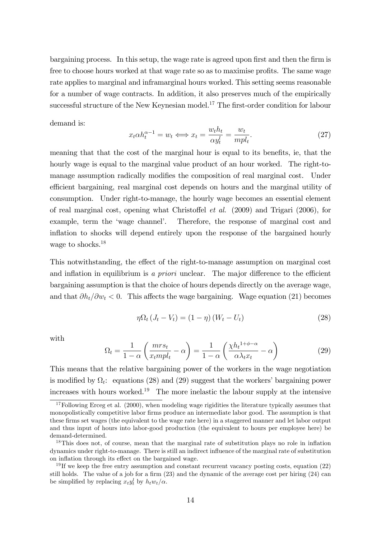bargaining process. In this setup, the wage rate is agreed upon first and then the firm is free to choose hours worked at that wage rate so as to maximise profits. The same wage rate applies to marginal and inframarginal hours worked. This setting seems reasonable for a number of wage contracts. In addition, it also preserves much of the empirically successful structure of the New Keynesian model.<sup>17</sup> The first-order condition for labour

demand is:

$$
x_t \alpha h_t^{\alpha - 1} = w_t \Longleftrightarrow x_t = \frac{w_t h_t}{\alpha y_t^l} = \frac{w_t}{m p l_t}.
$$
 (27)

meaning that that the cost of the marginal hour is equal to its benefits, ie, that the hourly wage is equal to the marginal value product of an hour worked. The right-tomanage assumption radically modifies the composition of real marginal cost. Under efficient bargaining, real marginal cost depends on hours and the marginal utility of consumption. Under right-to-manage, the hourly wage becomes an essential element of real marginal cost, opening what Christoffel *et al.*  $(2009)$  and Trigari  $(2006)$ , for example, term the 'wage channel'. Therefore, the response of marginal cost and inflation to shocks will depend entirely upon the response of the bargained hourly wage to shocks.<sup>18</sup>

This notwithstanding, the effect of the right-to-manage assumption on marginal cost and inflation in equilibrium is a priori unclear. The major difference to the efficient bargaining assumption is that the choice of hours depends directly on the average wage, and that  $\partial h_t/\partial w_t < 0$ . This affects the wage bargaining. Wage equation (21) becomes

$$
\eta \Omega_t \left( J_t - V_t \right) = (1 - \eta) \left( W_t - U_t \right) \tag{28}
$$

with

$$
\Omega_t = \frac{1}{1 - \alpha} \left( \frac{mrs_t}{x_t mpl_t} - \alpha \right) = \frac{1}{1 - \alpha} \left( \frac{\chi h_t^{1 + \phi - \alpha}}{\alpha \lambda_t x_t} - \alpha \right)
$$
(29)

This means that the relative bargaining power of the workers in the wage negotiation is modified by  $\Omega_t$ : equations (28) and (29) suggest that the workers' bargaining power increases with hours worked.<sup>19</sup> The more inelastic the labour supply at the intensive

 $17$ Following Erceg et al. (2000), when modeling wage rigidities the literature typically assumes that monopolistically competitive labor firms produce an intermediate labor good. The assumption is that these Örms set wages (the equivalent to the wage rate here) in a staggered manner and let labor output and thus input of hours into labor-good production (the equivalent to hours per employee here) be demand-determined.

 $18$ This does not, of course, mean that the marginal rate of substitution plays no role in inflation dynamics under right-to-manage. There is still an indirect ináuence of the marginal rate of substitution on inflation through its effect on the bargained wage.

<sup>&</sup>lt;sup>19</sup> If we keep the free entry assumption and constant recurrent vacancy posting costs, equation (22) still holds. The value of a job for a firm  $(23)$  and the dynamic of the average cost per hiring  $(24)$  can be simplified by replacing  $x_t y_t^l$  by  $h_t w_t/\alpha$ .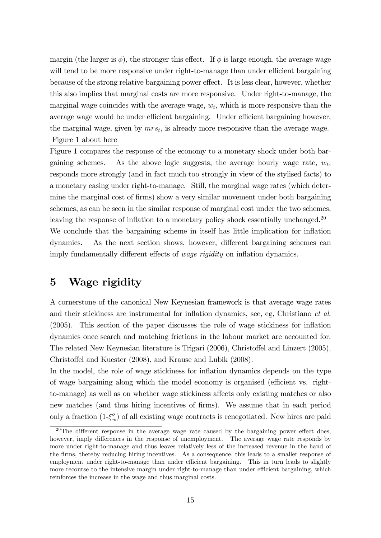margin (the larger is  $\phi$ ), the stronger this effect. If  $\phi$  is large enough, the average wage will tend to be more responsive under right-to-manage than under efficient bargaining because of the strong relative bargaining power effect. It is less clear, however, whether this also implies that marginal costs are more responsive. Under right-to-manage, the marginal wage coincides with the average wage,  $w_t$ , which is more responsive than the average wage would be under efficient bargaining. Under efficient bargaining however, the marginal wage, given by  $mrs_t$ , is already more responsive than the average wage. Figure 1 about here

Figure 1 compares the response of the economy to a monetary shock under both bargaining schemes. As the above logic suggests, the average hourly wage rate,  $w_t$ , responds more strongly (and in fact much too strongly in view of the stylised facts) to a monetary easing under right-to-manage. Still, the marginal wage rates (which determine the marginal cost of firms) show a very similar movement under both bargaining schemes, as can be seen in the similar response of marginal cost under the two schemes, leaving the response of inflation to a monetary policy shock essentially unchanged.<sup>20</sup> We conclude that the bargaining scheme in itself has little implication for inflation dynamics. As the next section shows, however, different bargaining schemes can imply fundamentally different effects of *wage rigidity* on inflation dynamics.

## 5 Wage rigidity

A cornerstone of the canonical New Keynesian framework is that average wage rates and their stickiness are instrumental for inflation dynamics, see, eg, Christiano et al.  $(2005)$ . This section of the paper discusses the role of wage stickiness for inflation dynamics once search and matching frictions in the labour market are accounted for. The related New Keynesian literature is Trigari (2006), Christoffel and Linzert (2005), Christoffel and Kuester (2008), and Krause and Lubik (2008).

In the model, the role of wage stickiness for inflation dynamics depends on the type of wage bargaining along which the model economy is organised (efficient vs. rightto-manage) as well as on whether wage stickiness affects only existing matches or also new matches (and thus hiring incentives of firms). We assume that in each period only a fraction  $(1-\xi_w^o)$  of all existing wage contracts is renegotiated. New hires are paid

<sup>&</sup>lt;sup>20</sup>The different response in the average wage rate caused by the bargaining power effect does, however, imply differences in the response of unemployment. The average wage rate responds by more under right-to-manage and thus leaves relatively less of the increased revenue in the hand of the Örms, thereby reducing hiring incentives. As a consequence, this leads to a smaller response of employment under right-to-manage than under efficient bargaining. This in turn leads to slightly more recourse to the intensive margin under right-to-manage than under efficient bargaining, which reinforces the increase in the wage and thus marginal costs.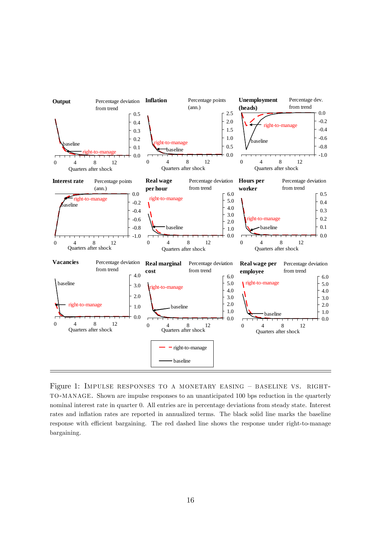

Figure 1: IMPULSE RESPONSES TO A MONETARY EASING  $-$  BASELINE VS. RIGHT-TO-MANAGE. Shown are impulse responses to an unanticipated 100 bps reduction in the quarterly nominal interest rate in quarter 0. All entries are in percentage deviations from steady state. Interest rates and inflation rates are reported in annualized terms. The black solid line marks the baseline response with efficient bargaining. The red dashed line shows the response under right-to-manage bargaining.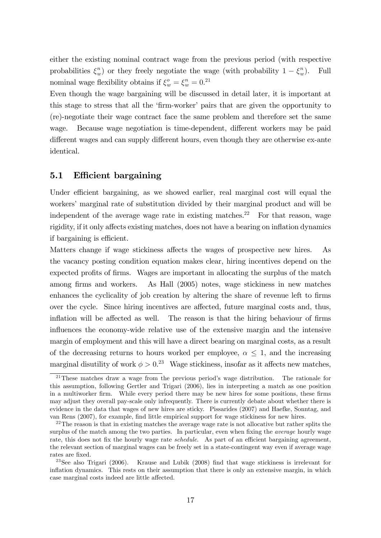either the existing nominal contract wage from the previous period (with respective probabilities  $\xi_w^n$ ) or they freely negotiate the wage (with probability  $1 - \xi_w^n$ ). Full nominal wage flexibility obtains if  $\xi_w^o = \xi_w^n = 0.21$ 

Even though the wage bargaining will be discussed in detail later, it is important at this stage to stress that all the 'firm-worker' pairs that are given the opportunity to (re)-negotiate their wage contract face the same problem and therefore set the same wage. Because wage negotiation is time-dependent, different workers may be paid different wages and can supply different hours, even though they are otherwise ex-ante identical.

### 5.1 Efficient bargaining

Under efficient bargaining, as we showed earlier, real marginal cost will equal the workers' marginal rate of substitution divided by their marginal product and will be independent of the average wage rate in existing matches.<sup>22</sup> For that reason, wage rigidity, if it only affects existing matches, does not have a bearing on inflation dynamics if bargaining is efficient.

Matters change if wage stickiness affects the wages of prospective new hires. As the vacancy posting condition equation makes clear, hiring incentives depend on the expected profits of firms. Wages are important in allocating the surplus of the match among firms and workers. As Hall (2005) notes, wage stickiness in new matches enhances the cyclicality of job creation by altering the share of revenue left to firms over the cycle. Since hiring incentives are affected, future marginal costs and, thus, inflation will be affected as well. The reason is that the hiring behaviour of firms influences the economy-wide relative use of the extensive margin and the intensive margin of employment and this will have a direct bearing on marginal costs, as a result of the decreasing returns to hours worked per employee,  $\alpha \leq 1$ , and the increasing marginal disutility of work  $\phi > 0.^{23}$  Wage stickiness, insofar as it affects new matches,

<sup>&</sup>lt;sup>21</sup>These matches draw a wage from the previous period's wage distribution. The rationale for this assumption, following Gertler and Trigari (2006), lies in interpreting a match as one position in a multiworker firm. While every period there may be new hires for some positions, these firms may adjust they overall pay-scale only infrequently. There is currently debate about whether there is evidence in the data that wages of new hires are sticky. Pissarides (2007) and Haefke, Sonntag, and van Rens (2007), for example, find little empirical support for wage stickiness for new hires.

 $^{22}$ The reason is that in existing matches the average wage rate is not allocative but rather splits the surplus of the match among the two parties. In particular, even when fixing the *average* hourly wage rate, this does not fix the hourly wage rate *schedule*. As part of an efficient bargaining agreement, the relevant section of marginal wages can be freely set in a state-contingent way even if average wage rates are fixed.

 $23$ See also Trigari (2006). Krause and Lubik (2008) find that wage stickiness is irrelevant for inflation dynamics. This rests on their assumption that there is only an extensive margin, in which case marginal costs indeed are little affected.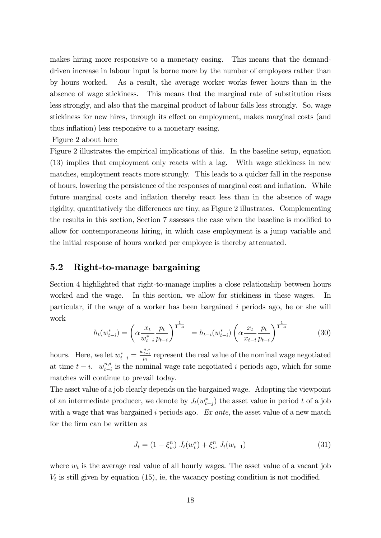makes hiring more responsive to a monetary easing. This means that the demanddriven increase in labour input is borne more by the number of employees rather than by hours worked. As a result, the average worker works fewer hours than in the absence of wage stickiness. This means that the marginal rate of substitution rises less strongly, and also that the marginal product of labour falls less strongly. So, wage stickiness for new hires, through its effect on employment, makes marginal costs (and thus inflation) less responsive to a monetary easing.

#### Figure 2 about here

Figure 2 illustrates the empirical implications of this. In the baseline setup, equation (13) implies that employment only reacts with a lag. With wage stickiness in new matches, employment reacts more strongly. This leads to a quicker fall in the response of hours, lowering the persistence of the responses of marginal cost and ináation. While future marginal costs and inflation thereby react less than in the absence of wage rigidity, quantitatively the differences are tiny, as Figure 2 illustrates. Complementing the results in this section, Section 7 assesses the case when the baseline is modified to allow for contemporaneous hiring, in which case employment is a jump variable and the initial response of hours worked per employee is thereby attenuated.

### 5.2 Right-to-manage bargaining

Section 4 highlighted that right-to-manage implies a close relationship between hours worked and the wage. In this section, we allow for stickiness in these wages. In particular, if the wage of a worker has been bargained i periods ago, he or she will work

$$
h_t(w_{t-i}^*) = \left(\alpha \frac{x_t}{w_{t-i}^*} \frac{p_t}{p_{t-i}}\right)^{\frac{1}{1-\alpha}} = h_{t-i}(w_{t-i}^*) \left(\alpha \frac{x_t}{x_{t-i}} \frac{p_t}{p_{t-i}}\right)^{\frac{1}{1-\alpha}}
$$
(30)

hours. Here, we let  $w_{t-i}^* = \frac{w_{t-i}^{n,*}}{p_t}$  represent the real value of the nominal wage negotiated at time  $t - i$ .  $w_{t-i}^{n,*}$  $_{t-i}^{n,*}$  is the nominal wage rate negotiated i periods ago, which for some matches will continue to prevail today.

The asset value of a job clearly depends on the bargained wage. Adopting the viewpoint of an intermediate producer, we denote by  $J_t(w_{t-j}^*)$  the asset value in period t of a job with a wage that was bargained i periods ago.  $Ex$  ante, the asset value of a new match for the firm can be written as

$$
J_t = (1 - \xi_w^n) J_t(w_t^*) + \xi_w^n J_t(w_{t-1})
$$
\n(31)

where  $w_t$  is the average real value of all hourly wages. The asset value of a vacant job  $V_t$  is still given by equation (15), ie, the vacancy posting condition is not modified.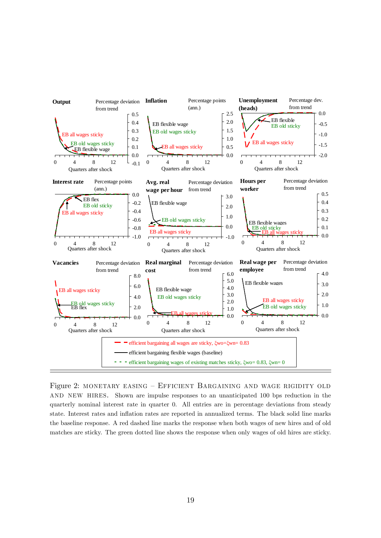

Figure 2: MONETARY EASING – EFFICIENT BARGAINING AND WAGE RIGIDITY OLD and new hires. Shown are impulse responses to an unanticipated 100 bps reduction in the quarterly nominal interest rate in quarter 0. All entries are in percentage deviations from steady state. Interest rates and ináation rates are reported in annualized terms. The black solid line marks the baseline response. A red dashed line marks the response when both wages of new hires and of old matches are sticky. The green dotted line shows the response when only wages of old hires are sticky.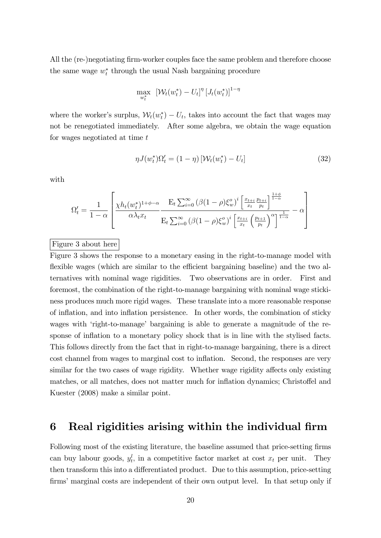All the (re-)negotiating firm-worker couples face the same problem and therefore choose the same wage  $w_t^*$  through the usual Nash bargaining procedure

$$
\max_{w_t^*} \left[ \mathcal{W}_t(w_t^*) - U_t \right]^\eta \left[ J_t(w_t^*) \right]^{1-\eta}
$$

where the worker's surplus,  $W_t(w_t^*) - U_t$ , takes into account the fact that wages may not be renegotiated immediately. After some algebra, we obtain the wage equation for wages negotiated at time t

$$
\eta J(w_t^*)\Omega_t' = (1 - \eta) \left[ \mathcal{W}_t(w_t^*) - U_t \right] \tag{32}
$$

with

$$
\Omega'_t = \frac{1}{1-\alpha} \left[ \frac{\chi h_t(w_t^*)^{1+\phi-\alpha}}{\alpha \lambda_t x_t} \frac{\mathbf{E}_t \sum_{i=0}^{\infty} (\beta(1-\rho)\xi_w^o)^i \left[ \frac{x_{t+i}}{x_t} \frac{p_{t+i}}{p_t} \right]^{\frac{1+\phi}{1-\alpha}}}{\mathbf{E}_t \sum_{i=0}^{\infty} (\beta(1-\rho)\xi_w^o)^i \left[ \frac{x_{t+i}}{x_t} \left( \frac{p_{t+1}}{p_t} \right)^{\alpha} \right]^{\frac{1}{1-\alpha}}} - \alpha \right]
$$

#### Figure 3 about here

Figure 3 shows the response to a monetary easing in the right-to-manage model with flexible wages (which are similar to the efficient bargaining baseline) and the two alternatives with nominal wage rigidities. Two observations are in order. First and foremost, the combination of the right-to-manage bargaining with nominal wage stickiness produces much more rigid wages. These translate into a more reasonable response of ináation, and into ináation persistence. In other words, the combination of sticky wages with 'right-to-manage' bargaining is able to generate a magnitude of the response of inflation to a monetary policy shock that is in line with the stylised facts. This follows directly from the fact that in right-to-manage bargaining, there is a direct cost channel from wages to marginal cost to inflation. Second, the responses are very similar for the two cases of wage rigidity. Whether wage rigidity affects only existing matches, or all matches, does not matter much for inflation dynamics; Christoffel and Kuester (2008) make a similar point.

## 6 Real rigidities arising within the individual firm

Following most of the existing literature, the baseline assumed that price-setting firms can buy labour goods,  $y_t^l$ , in a competitive factor market at cost  $x_t$  per unit. They then transform this into a differentiated product. Due to this assumption, price-setting firms' marginal costs are independent of their own output level. In that setup only if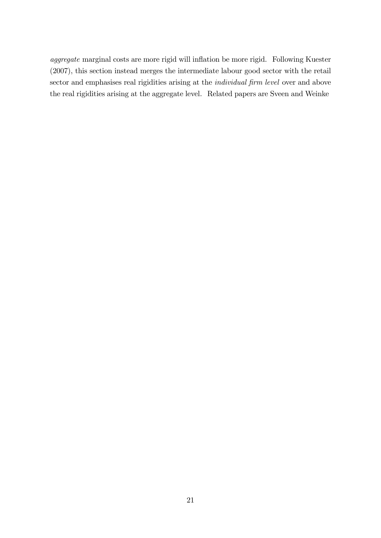aggregate marginal costs are more rigid will inflation be more rigid. Following Kuester (2007), this section instead merges the intermediate labour good sector with the retail sector and emphasises real rigidities arising at the *individual firm level* over and above the real rigidities arising at the aggregate level. Related papers are Sveen and Weinke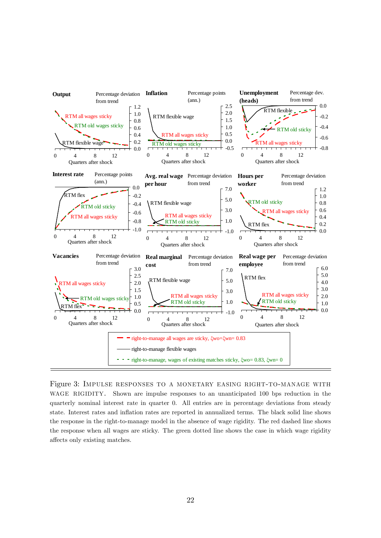

Figure 3: Impulse responses to a monetary easing right-to-manage with WAGE RIGIDITY. Shown are impulse responses to an unanticipated 100 bps reduction in the quarterly nominal interest rate in quarter 0. All entries are in percentage deviations from steady state. Interest rates and ináation rates are reported in annualized terms. The black solid line shows the response in the right-to-manage model in the absence of wage rigidity. The red dashed line shows the response when all wages are sticky. The green dotted line shows the case in which wage rigidity affects only existing matches.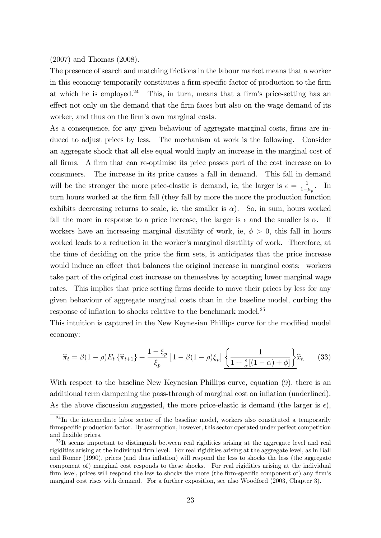(2007) and Thomas (2008).

The presence of search and matching frictions in the labour market means that a worker in this economy temporarily constitutes a firm-specific factor of production to the firm at which he is employed.<sup>24</sup> This, in turn, means that a firm's price-setting has an effect not only on the demand that the firm faces but also on the wage demand of its worker, and thus on the firm's own marginal costs.

As a consequence, for any given behaviour of aggregate marginal costs, firms are induced to adjust prices by less. The mechanism at work is the following. Consider an aggregate shock that all else equal would imply an increase in the marginal cost of all firms. A firm that can re-optimise its price passes part of the cost increase on to consumers. The increase in its price causes a fall in demand. This fall in demand will be the stronger the more price-elastic is demand, ie, the larger is  $\epsilon = \frac{1}{1-\epsilon}$  $\frac{1}{1-\mu_p}$ . In turn hours worked at the firm fall (they fall by more the more the production function exhibits decreasing returns to scale, ie, the smaller is  $\alpha$ ). So, in sum, hours worked fall the more in response to a price increase, the larger is  $\epsilon$  and the smaller is  $\alpha$ . If workers have an increasing marginal disutility of work, ie,  $\phi > 0$ , this fall in hours worked leads to a reduction in the worker's marginal disutility of work. Therefore, at the time of deciding on the price the Örm sets, it anticipates that the price increase would induce an effect that balances the original increase in marginal costs: workers take part of the original cost increase on themselves by accepting lower marginal wage rates. This implies that price setting firms decide to move their prices by less for any given behaviour of aggregate marginal costs than in the baseline model, curbing the response of inflation to shocks relative to the benchmark model.<sup>25</sup>

This intuition is captured in the New Keynesian Phillips curve for the modified model economy:

$$
\widehat{\pi}_t = \beta(1-\rho)E_t\left\{\widehat{\pi}_{t+1}\right\} + \frac{1-\xi_p}{\xi_p}\left[1-\beta(1-\rho)\xi_p\right]\left\{\frac{1}{1+\frac{\epsilon}{\alpha}\left[(1-\alpha)+\phi\right]}\right\}\widehat{x}_t. \tag{33}
$$

With respect to the baseline New Keynesian Phillips curve, equation (9), there is an additional term dampening the pass-through of marginal cost on inflation (underlined). As the above discussion suggested, the more price-elastic is demand (the larger is  $\epsilon$ ),

 $24$ In the intermediate labor sector of the baseline model, workers also constituted a temporarily firmspecific production factor. By assumption, however, this sector operated under perfect competition and flexible prices.

<sup>&</sup>lt;sup>25</sup>It seems important to distinguish between real rigidities arising at the aggregate level and real rigidities arising at the individual firm level. For real rigidities arising at the aggregate level, as in Ball and Romer (1990), prices (and thus inflation) will respond the less to shocks the less (the aggregate component of) marginal cost responds to these shocks. For real rigidities arising at the individual firm level, prices will respond the less to shocks the more (the firm-specific component of) any firm's marginal cost rises with demand. For a further exposition, see also Woodford (2003, Chapter 3).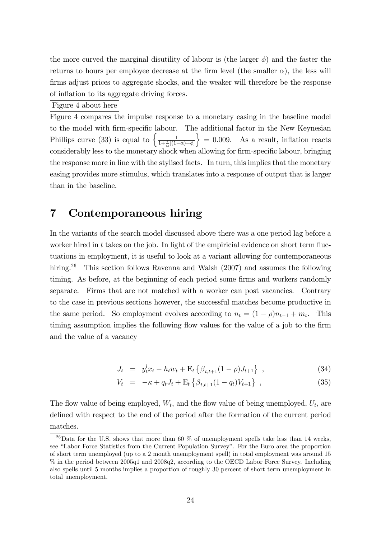the more curved the marginal disutility of labour is (the larger  $\phi$ ) and the faster the returns to hours per employee decrease at the firm level (the smaller  $\alpha$ ), the less will firms adjust prices to aggregate shocks, and the weaker will therefore be the response of inflation to its aggregate driving forces.

#### Figure 4 about here

Figure 4 compares the impulse response to a monetary easing in the baseline model to the model with firm-specific labour. The additional factor in the New Keynesian Phillips curve (33) is equal to  $\left\{\frac{1}{1+\frac{\epsilon}{\alpha}[(1-\alpha)+\phi]}\right\}$  $= 0.009$ . As a result, inflation reacts considerably less to the monetary shock when allowing for firm-specific labour, bringing the response more in line with the stylised facts. In turn, this implies that the monetary easing provides more stimulus, which translates into a response of output that is larger than in the baseline.

## 7 Contemporaneous hiring

In the variants of the search model discussed above there was a one period lag before a worker hired in  $t$  takes on the job. In light of the empiricial evidence on short term fluctuations in employment, it is useful to look at a variant allowing for contemporaneous hiring.<sup>26</sup> This section follows Ravenna and Walsh (2007) and assumes the following timing. As before, at the beginning of each period some firms and workers randomly separate. Firms that are not matched with a worker can post vacancies. Contrary to the case in previous sections however, the successful matches become productive in the same period. So employment evolves according to  $n_t = (1 - \rho)n_{t-1} + m_t$ . This timing assumption implies the following flow values for the value of a job to the firm and the value of a vacancy

$$
J_t = y_t^l x_t - h_t w_t + \mathcal{E}_t \left\{ \beta_{t,t+1} (1 - \rho) J_{t+1} \right\} , \qquad (34)
$$

$$
V_t = -\kappa + q_t J_t + \mathcal{E}_t \left\{ \beta_{t,t+1} (1 - q_t) V_{t+1} \right\} , \qquad (35)
$$

The flow value of being employed,  $W_t$ , and the flow value of being unemployed,  $U_t$ , are defined with respect to the end of the period after the formation of the current period matches.

<sup>&</sup>lt;sup>26</sup>Data for the U.S. shows that more than 60  $\%$  of unemployment spells take less than 14 weeks, see "Labor Force Statistics from the Current Population Survey". For the Euro area the proportion of short term unemployed (up to a 2 month unemployment spell) in total employment was around 15 % in the period between 2005q1 and 2008q2, according to the OECD Labor Force Survey. Including also spells until 5 months implies a proportion of roughly 30 percent of short term unemployment in total unemployment.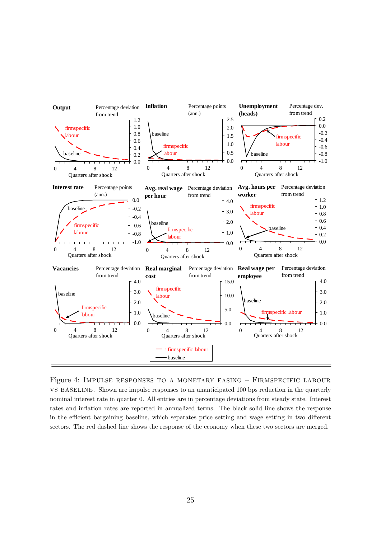

Figure 4: IMPULSE RESPONSES TO A MONETARY EASING  $-$  FIRMSPECIFIC LABOUR vs baseline. Shown are impulse responses to an unanticipated 100 bps reduction in the quarterly nominal interest rate in quarter 0. All entries are in percentage deviations from steady state. Interest rates and inflation rates are reported in annualized terms. The black solid line shows the response in the efficient bargaining baseline, which separates price setting and wage setting in two different sectors. The red dashed line shows the response of the economy when these two sectors are merged.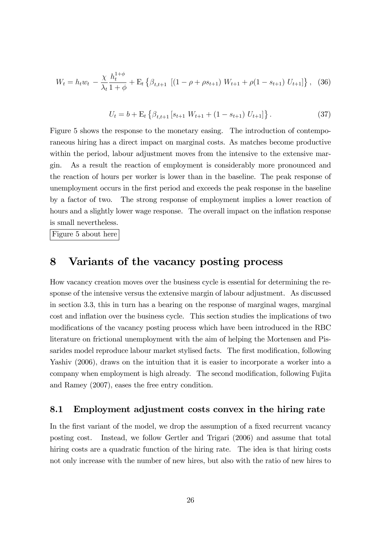$$
W_t = h_t w_t - \frac{\chi}{\lambda_t} \frac{h_t^{1+\phi}}{1+\phi} + \mathcal{E}_t \left\{ \beta_{t,t+1} \left[ (1-\rho+\rho s_{t+1}) W_{t+1} + \rho (1-s_{t+1}) U_{t+1} \right] \right\}, \tag{36}
$$

$$
U_t = b + \mathcal{E}_t \left\{ \beta_{t,t+1} \left[ s_{t+1} \ W_{t+1} + (1 - s_{t+1}) \ U_{t+1} \right] \right\}.
$$
 (37)

Figure 5 shows the response to the monetary easing. The introduction of contemporaneous hiring has a direct impact on marginal costs. As matches become productive within the period, labour adjustment moves from the intensive to the extensive margin. As a result the reaction of employment is considerably more pronounced and the reaction of hours per worker is lower than in the baseline. The peak response of unemployment occurs in the Örst period and exceeds the peak response in the baseline by a factor of two. The strong response of employment implies a lower reaction of hours and a slightly lower wage response. The overall impact on the inflation response is small nevertheless.

Figure 5 about here

## 8 Variants of the vacancy posting process

How vacancy creation moves over the business cycle is essential for determining the response of the intensive versus the extensive margin of labour adjustment. As discussed in section 3.3, this in turn has a bearing on the response of marginal wages, marginal cost and inflation over the business cycle. This section studies the implications of two modifications of the vacancy posting process which have been introduced in the RBC literature on frictional unemployment with the aim of helping the Mortensen and Pissarides model reproduce labour market stylised facts. The first modification, following Yashiv (2006), draws on the intuition that it is easier to incorporate a worker into a company when employment is high already. The second modification, following Fujita and Ramey (2007), eases the free entry condition.

### 8.1 Employment adjustment costs convex in the hiring rate

In the first variant of the model, we drop the assumption of a fixed recurrent vacancy posting cost. Instead, we follow Gertler and Trigari (2006) and assume that total hiring costs are a quadratic function of the hiring rate. The idea is that hiring costs not only increase with the number of new hires, but also with the ratio of new hires to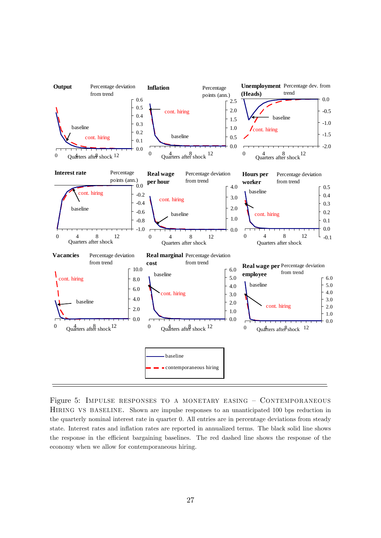

Figure 5: IMPULSE RESPONSES TO A MONETARY EASING  $-$  CONTEMPORANEOUS HIRING VS BASELINE. Shown are impulse responses to an unanticipated 100 bps reduction in the quarterly nominal interest rate in quarter 0. All entries are in percentage deviations from steady state. Interest rates and ináation rates are reported in annualized terms. The black solid line shows the response in the efficient bargaining baselines. The red dashed line shows the response of the economy when we allow for contemporaneous hiring.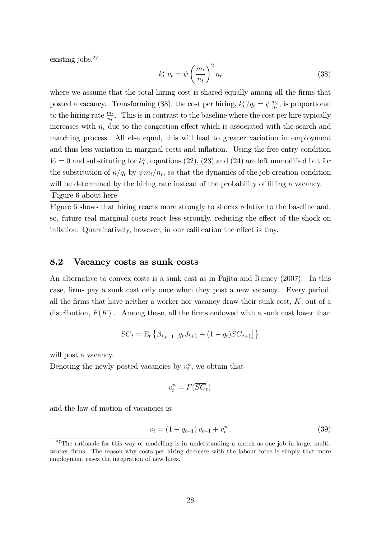existing jobs,  $27$ 

$$
k_t^v v_t = \psi \left(\frac{m_t}{n_t}\right)^2 n_t \tag{38}
$$

where we assume that the total hiring cost is shared equally among all the firms that posted a vacancy. Transforming (38), the cost per hiring,  $k_t^v/q_t = \psi \frac{m_t}{n_t}$  $\frac{m_t}{n_t}$ , is proportional to the hiring rate  $\frac{m_t}{n_t}$ . This is in contrast to the baseline where the cost per hire typically increases with  $n_t$  due to the congestion effect which is associated with the search and matching process. All else equal, this will lead to greater variation in employment and thus less variation in marginal costs and inflation. Using the free entry condition  $V_t = 0$  and substituting for  $k_t^v$ , equations (22), (23) and (24) are left unmodified but for the substitution of  $\kappa/q_t$  by  $\psi m_t/n_t$ , so that the dynamics of the job creation condition will be determined by the hiring rate instead of the probability of filling a vacancy. Figure 6 about here

Figure 6 shows that hiring reacts more strongly to shocks relative to the baseline and, so, future real marginal costs react less strongly, reducing the effect of the shock on inflation. Quantitatively, however, in our calibration the effect is tiny.

#### 8.2 Vacancy costs as sunk costs

An alternative to convex costs is a sunk cost as in Fujita and Ramey (2007). In this case, Örms pay a sunk cost only once when they post a new vacancy. Every period, all the firms that have neither a worker nor vacancy draw their sunk cost,  $K$ , out of a distribution,  $F(K)$ . Among these, all the firms endowed with a sunk cost lower than

$$
\overline{SC}_t = \mathbf{E}_t \left\{ \beta_{t,t+1} \left[ q_t J_{t+1} + (1 - q_t) \overline{SC}_{t+1} \right] \right\}
$$

will post a vacancy.

Denoting the newly posted vacancies by  $v_t^n$ , we obtain that

$$
v_t^n = F(\overline{SC}_t)
$$

and the law of motion of vacancies is:

$$
v_t = (1 - q_{t-1}) v_{t-1} + v_t^n. \tag{39}
$$

 $27$ The rationale for this way of modelling is in understanding a match as one job in large, multiworker firms. The reason why costs per hiring decrease with the labour force is simply that more employment eases the integration of new hires.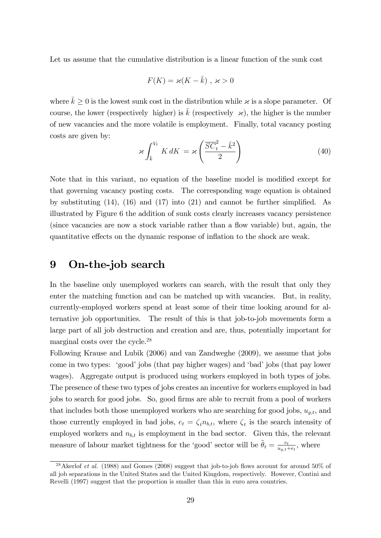Let us assume that the cumulative distribution is a linear function of the sunk cost

$$
F(K) = \varkappa (K - \bar{k}) , \, \varkappa > 0
$$

where  $\bar{k} \geq 0$  is the lowest sunk cost in the distribution while  $\varkappa$  is a slope parameter. Of course, the lower (respectively higher) is k (respectively  $\varkappa$ ), the higher is the number of new vacancies and the more volatile is employment. Finally, total vacancy posting costs are given by:

$$
\varkappa \int_{\bar{k}}^{V_t} K \, dK = \varkappa \left( \frac{\overline{SC}_t^2 - \bar{k}^2}{2} \right) \tag{40}
$$

Note that in this variant, no equation of the baseline model is modified except for that governing vacancy posting costs. The corresponding wage equation is obtained by substituting  $(14)$ ,  $(16)$  and  $(17)$  into  $(21)$  and cannot be further simplified. As illustrated by Figure 6 the addition of sunk costs clearly increases vacancy persistence (since vacancies are now a stock variable rather than a flow variable) but, again, the quantitative effects on the dynamic response of inflation to the shock are weak.

## 9 On-the-job search

In the baseline only unemployed workers can search, with the result that only they enter the matching function and can be matched up with vacancies. But, in reality, currently-employed workers spend at least some of their time looking around for alternative job opportunities. The result of this is that job-to-job movements form a large part of all job destruction and creation and are, thus, potentially important for marginal costs over the cycle.<sup>28</sup>

Following Krause and Lubik (2006) and van Zandweghe (2009), we assume that jobs come in two types: 'good' jobs (that pay higher wages) and 'bad' jobs (that pay lower wages). Aggregate output is produced using workers employed in both types of jobs. The presence of these two types of jobs creates an incentive for workers employed in bad jobs to search for good jobs. So, good firms are able to recruit from a pool of workers that includes both those unemployed workers who are searching for good jobs,  $u_{a,t}$ , and those currently employed in bad jobs,  $e_t = \zeta_t n_{b,t}$ , where  $\zeta_t$  is the search intensity of employed workers and  $n_{b,t}$  is employment in the bad sector. Given this, the relevant measure of labour market tightness for the 'good' sector will be  $\tilde{\theta}_t = \frac{v_t}{u_{t,t}}$  $\frac{v_t}{u_{g,t}+e_t}$ , where

<sup>&</sup>lt;sup>28</sup> Akerlof *et al.* (1988) and Gomes (2008) suggest that job-to-job flows account for around 50% of all job separations in the United States and the United Kingdom, respectively. However, Contini and Revelli (1997) suggest that the proportion is smaller than this in euro area countries.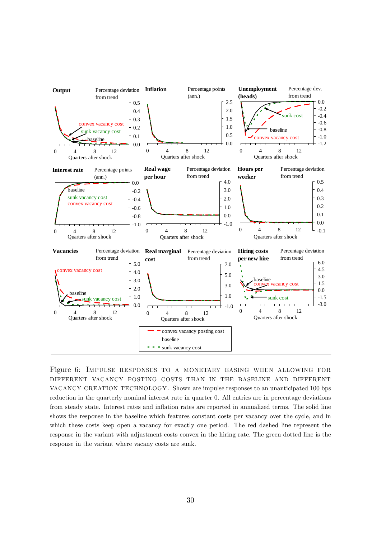

Figure 6: Impulse responses to a monetary easing when allowing for different vacancy posting costs than in the baseline and different vacancy creation technology. Shown are impulse responses to an unanticipated 100 bps reduction in the quarterly nominal interest rate in quarter 0. All entries are in percentage deviations from steady state. Interest rates and inflation rates are reported in annualized terms. The solid line shows the response in the baseline which features constant costs per vacancy over the cycle, and in which these costs keep open a vacancy for exactly one period. The red dashed line represent the response in the variant with adjustment costs convex in the hiring rate. The green dotted line is the response in the variant where vacany costs are sunk.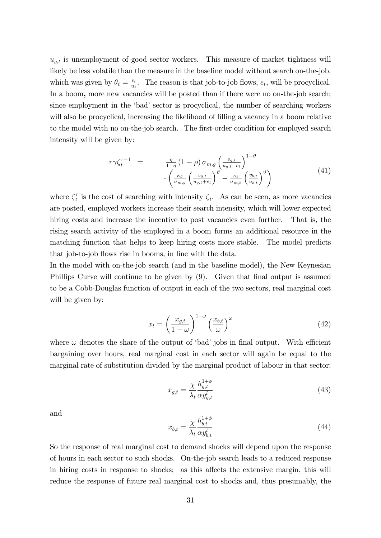$u_{g,t}$  is unemployment of good sector workers. This measure of market tightness will likely be less volatile than the measure in the baseline model without search on-the-job, which was given by  $\theta_t = \frac{v_t}{u_t}$  $\frac{v_t}{u_t}$ . The reason is that job-to-job flows,  $e_t$ , will be procyclical. In a boom, more new vacancies will be posted than if there were no on-the-job search; since employment in the 'bad' sector is procyclical, the number of searching workers will also be procyclical, increasing the likelihood of filling a vacancy in a boom relative to the model with no on-the-job search. The first-order condition for employed search intensity will be given by:

$$
\tau \gamma \zeta_t^{\tau - 1} = \frac{\eta}{1 - \eta} (1 - \rho) \sigma_{m,g} \left( \frac{v_{g,t}}{u_{g,t} + e_t} \right)^{1 - \vartheta} \cdot \left( \frac{\kappa_g}{\sigma_{m,g}} \left( \frac{v_{g,t}}{u_{g,t} + e_t} \right)^{\vartheta} - \frac{\kappa_b}{\sigma_{m,b}} \left( \frac{v_{b,t}}{u_{b,t}} \right)^{\vartheta} \right)
$$
(41)

where  $\zeta_t^{\tau}$  $\tau_t^{\tau}$  is the cost of searching with intensity  $\zeta_t$ . As can be seen, as more vacancies are posted, employed workers increase their search intensity, which will lower expected hiring costs and increase the incentive to post vacancies even further. That is, the rising search activity of the employed in a boom forms an additional resource in the matching function that helps to keep hiring costs more stable. The model predicts that job-to-job flows rise in booms, in line with the data.

In the model with on-the-job search (and in the baseline model), the New Keynesian Phillips Curve will continue to be given by (9). Given that final output is assumed to be a Cobb-Douglas function of output in each of the two sectors, real marginal cost will be given by:

$$
x_t = \left(\frac{x_{g,t}}{1-\omega}\right)^{1-\omega} \left(\frac{x_{b,t}}{\omega}\right)^{\omega}
$$
(42)

where  $\omega$  denotes the share of the output of 'bad' jobs in final output. With efficient bargaining over hours, real marginal cost in each sector will again be equal to the marginal rate of substitution divided by the marginal product of labour in that sector:

$$
x_{g,t} = \frac{\chi}{\lambda_t} \frac{h_{g,t}^{1+\phi}}{\alpha y_{g,t}^l} \tag{43}
$$

and

$$
x_{b,t} = \frac{\chi}{\lambda_t} \frac{h_{b,t}^{1+\phi}}{\alpha y_{b,t}^l} \tag{44}
$$

So the response of real marginal cost to demand shocks will depend upon the response of hours in each sector to such shocks. On-the-job search leads to a reduced response in hiring costs in response to shocks; as this affects the extensive margin, this will reduce the response of future real marginal cost to shocks and, thus presumably, the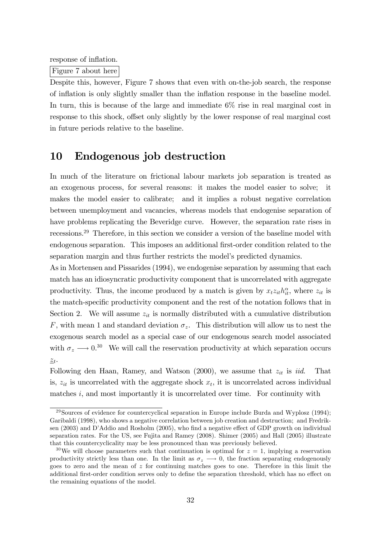response of inflation.

Figure 7 about here

Despite this, however, Figure 7 shows that even with on-the-job search, the response of inflation is only slightly smaller than the inflation response in the baseline model. In turn, this is because of the large and immediate 6% rise in real marginal cost in response to this shock, offset only slightly by the lower response of real marginal cost in future periods relative to the baseline.

## 10 Endogenous job destruction

In much of the literature on frictional labour markets job separation is treated as an exogenous process, for several reasons: it makes the model easier to solve; it makes the model easier to calibrate; and it implies a robust negative correlation between unemployment and vacancies, whereas models that endogenise separation of have problems replicating the Beveridge curve. However, the separation rate rises in recessions.<sup>29</sup> Therefore, in this section we consider a version of the baseline model with endogenous separation. This imposes an additional first-order condition related to the separation margin and thus further restricts the model's predicted dynamics.

As in Mortensen and Pissarides (1994), we endogenise separation by assuming that each match has an idiosyncratic productivity component that is uncorrelated with aggregate productivity. Thus, the income produced by a match is given by  $x_t z_{it} h_{it}^{\alpha}$ , where  $z_{it}$  is the match-specific productivity component and the rest of the notation follows that in Section 2. We will assume  $z_{it}$  is normally distributed with a cumulative distribution F, with mean 1 and standard deviation  $\sigma_z$ . This distribution will allow us to nest the exogenous search model as a special case of our endogenous search model associated with  $\sigma_z \longrightarrow 0.^{30}$  We will call the reservation productivity at which separation occurs  $\underline{z}_t$ .

Following den Haan, Ramey, and Watson  $(2000)$ , we assume that  $z_{it}$  is *iid.* That is,  $z_{it}$  is uncorrelated with the aggregate shock  $x_t$ , it is uncorrelated across individual matches  $i$ , and most importantly it is uncorrelated over time. For continuity with

 $^{29}$ Sources of evidence for countercyclical separation in Europe include Burda and Wyplosz (1994); Garibaldi (1998), who shows a negative correlation between job creation and destruction; and Fredriksen  $(2003)$  and D'Addio and Rosholm  $(2005)$ , who find a negative effect of GDP growth on individual separation rates. For the US, see Fujita and Ramey (2008). Shimer (2005) and Hall (2005) illustrate that this countercyclicality may be less pronounced than was previously believed.

<sup>&</sup>lt;sup>30</sup>We will choose parameters such that continuation is optimal for  $z = 1$ , implying a reservation productivity strictly less than one. In the limit as  $\sigma_z \longrightarrow 0$ , the fraction separating endogenously goes to zero and the mean of  $z$  for continuing matches goes to one. Therefore in this limit the additional first-order condition serves only to define the separation threshold, which has no effect on the remaining equations of the model.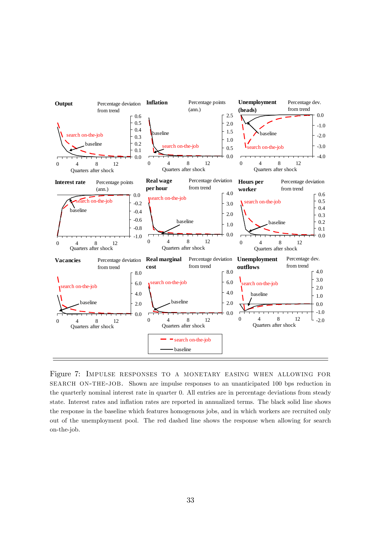

Figure 7: Impulse responses to a monetary easing when allowing for SEARCH ON-THE-JOB. Shown are impulse responses to an unanticipated 100 bps reduction in the quarterly nominal interest rate in quarter 0. All entries are in percentage deviations from steady state. Interest rates and ináation rates are reported in annualized terms. The black solid line shows the response in the baseline which features homogenous jobs, and in which workers are recruited only out of the unemployment pool. The red dashed line shows the response when allowing for search on-the-job.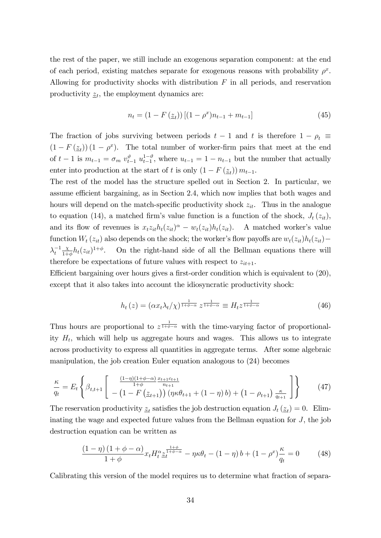the rest of the paper, we still include an exogenous separation component: at the end of each period, existing matches separate for exogenous reasons with probability  $\rho^x$ . Allowing for productivity shocks with distribution  $F$  in all periods, and reservation productivity  $z_t$ , the employment dynamics are:

$$
n_{t} = (1 - F(\underline{z}_{t}))[(1 - \rho^{x})n_{t-1} + m_{t-1}]
$$
\n(45)

The fraction of jobs surviving between periods  $t-1$  and t is therefore  $1-\rho_t \equiv$  $(1 - F(\underline{z}_t)) (1 - \rho^x)$ . The total number of worker-firm pairs that meet at the end of  $t-1$  is  $m_{t-1} = \sigma_m v_{t-1}^{\vartheta} u_{t-1}^{1-\vartheta}$ , where  $u_{t-1} = 1 - n_{t-1}$  but the number that actually enter into production at the start of t is only  $(1 - F(\underline{z}_t)) m_{t-1}$ .

The rest of the model has the structure spelled out in Section 2. In particular, we assume efficient bargaining, as in Section 2.4, which now implies that both wages and hours will depend on the match-specific productivity shock  $z_{it}$ . Thus in the analogue to equation (14), a matched firm's value function is a function of the shock,  $J_t(z_{it})$ , and its flow of revenues is  $x_t z_{it} h_t(z_{it})^{\alpha} - w_t(z_{it}) h_t(z_{it})$ . A matched worker's value function  $W_t(z_{it})$  also depends on the shock; the worker's flow payoffs are  $w_t(z_{it})h_t(z_{it})$  $\lambda_t^{-1}$  $\chi$  $\frac{\chi}{1+\phi}h_t(z_{it})^{1+\phi}$ . On the right-hand side of all the Bellman equations there will therefore be expectations of future values with respect to  $z_{it+1}$ .

Efficient bargaining over hours gives a first-order condition which is equivalent to  $(20)$ , except that it also takes into account the idiosyncratic productivity shock:

$$
h_t(z) = \left(\alpha x_t \lambda_t / \chi\right)^{\frac{1}{1+\phi-\alpha}} z^{\frac{1}{1+\phi-\alpha}} \equiv H_t z^{\frac{1}{1+\phi-\alpha}}
$$
\n(46)

Thus hours are proportional to  $z^{\frac{1}{1+\phi-\alpha}}$  with the time-varying factor of proportionality  $H_t$ , which will help us aggregate hours and wages. This allows us to integrate across productivity to express all quantities in aggregate terms. After some algebraic manipulation, the job creation Euler equation analogous to (24) becomes

$$
\frac{\kappa}{q_t} = E_t \left\{ \beta_{t,t+1} \left[ \frac{\frac{(1-\eta)(1+\phi-\alpha)}{1+\phi} \frac{x_{t+1}c_{t+1}}{n_{t+1}}}{-\left(1 - F\left(\underline{z}_{t+1}\right)\right) \left(\eta \kappa \theta_{t+1} + (1-\eta) b\right) + \left(1 - \rho_{t+1}\right) \frac{\kappa}{q_{t+1}} \right] \right\}
$$
(47)

The reservation productivity  $\underline{z}_t$  satisfies the job destruction equation  $J_t(\underline{z}_t) = 0$ . Eliminating the wage and expected future values from the Bellman equation for J, the job destruction equation can be written as

$$
\frac{(1-\eta)(1+\phi-\alpha)}{1+\phi}x_tH_t^{\alpha}\underline{z}_t^{\frac{1+\phi}{1+\phi-\alpha}}-\eta\kappa\theta_t-(1-\eta)b+(1-\rho^x)\frac{\kappa}{q_t}=0\tag{48}
$$

Calibrating this version of the model requires us to determine what fraction of separa-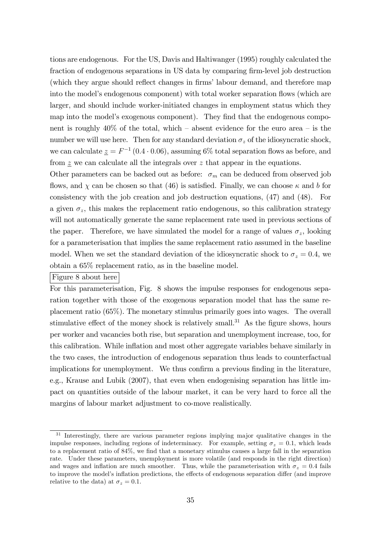tions are endogenous. For the US, Davis and Haltiwanger (1995) roughly calculated the fraction of endogenous separations in US data by comparing firm-level job destruction (which they argue should reflect changes in firms' labour demand, and therefore map into the model's endogenous component) with total worker separation flows (which are larger, and should include worker-initiated changes in employment status which they map into the model's exogenous component). They find that the endogenous component is roughly  $40\%$  of the total, which – absent evidence for the euro area – is the number we will use here. Then for any standard deviation  $\sigma_z$  of the idiosyncratic shock, we can calculate  $\underline{z} = F^{-1}(0.4 \cdot 0.06)$ , assuming 6% total separation flows as before, and from  $z$  we can calculate all the integrals over  $z$  that appear in the equations.

Other parameters can be backed out as before:  $\sigma_m$  can be deduced from observed job flows, and  $\chi$  can be chosen so that (46) is satisfied. Finally, we can choose  $\kappa$  and b for consistency with the job creation and job destruction equations, (47) and (48). For a given  $\sigma_z$ , this makes the replacement ratio endogenous, so this calibration strategy will not automatically generate the same replacement rate used in previous sections of the paper. Therefore, we have simulated the model for a range of values  $\sigma_z$ , looking for a parameterisation that implies the same replacement ratio assumed in the baseline model. When we set the standard deviation of the idiosyncratic shock to  $\sigma_z = 0.4$ , we obtain a 65% replacement ratio, as in the baseline model.

#### Figure 8 about here

For this parameterisation, Fig. 8 shows the impulse responses for endogenous separation together with those of the exogenous separation model that has the same replacement ratio (65%). The monetary stimulus primarily goes into wages. The overall stimulative effect of the money shock is relatively small.<sup>31</sup> As the figure shows, hours per worker and vacancies both rise, but separation and unemployment increase, too, for this calibration. While ináation and most other aggregate variables behave similarly in the two cases, the introduction of endogenous separation thus leads to counterfactual implications for unemployment. We thus confirm a previous finding in the literature, e.g., Krause and Lubik (2007), that even when endogenising separation has little impact on quantities outside of the labour market, it can be very hard to force all the margins of labour market adjustment to co-move realistically.

<sup>&</sup>lt;sup>31</sup> Interestingly, there are various parameter regions implying major qualitative changes in the impulse responses, including regions of indeterminacy. For example, setting  $\sigma_z = 0.1$ , which leads to a replacement ratio of  $84\%$ , we find that a monetary stimulus causes a large fall in the separation rate. Under these parameters, unemployment is more volatile (and responds in the right direction) and wages and inflation are much smoother. Thus, while the parameterisation with  $\sigma_z = 0.4$  fails to improve the model's inflation predictions, the effects of endogenous separation differ (and improve relative to the data) at  $\sigma_z = 0.1$ .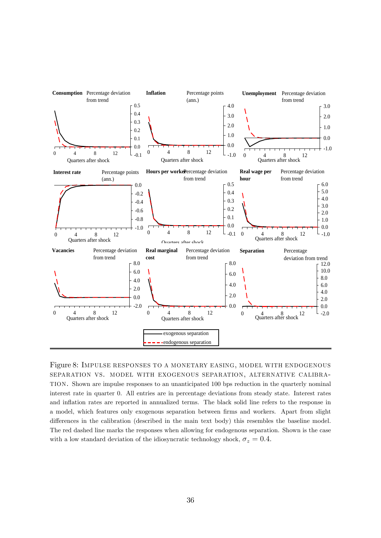

Figure 8: Impulse responses to a monetary easing, model with endogenous separation vs. model with exogenous separation, alternative calibration. Shown are impulse responses to an unanticipated 100 bps reduction in the quarterly nominal interest rate in quarter 0. All entries are in percentage deviations from steady state. Interest rates and ináation rates are reported in annualized terms. The black solid line refers to the response in a model, which features only exogenous separation between firms and workers. Apart from slight differences in the calibration (described in the main text body) this resembles the baseline model. The red dashed line marks the responses when allowing for endogenous separation. Shown is the case with a low standard deviation of the idiosyncratic technology shock,  $\sigma_z = 0.4$ .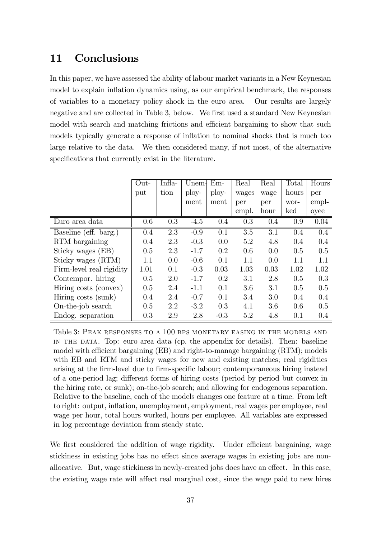## 11 Conclusions

In this paper, we have assessed the ability of labour market variants in a New Keynesian model to explain inflation dynamics using, as our empirical benchmark, the responses of variables to a monetary policy shock in the euro area. Our results are largely negative and are collected in Table 3, below. We first used a standard New Keynesian model with search and matching frictions and efficient bargaining to show that such models typically generate a response of inflation to nominal shocks that is much too large relative to the data. We then considered many, if not most, of the alternative specifications that currently exist in the literature.

|                          | Out- | Infla- | Unem-  | $Em-$  | Real  | Real | Total | Hours |
|--------------------------|------|--------|--------|--------|-------|------|-------|-------|
|                          | put  | tion   | ploy-  | ploy-  | wages | wage | hours | per   |
|                          |      |        | ment   | ment   | per   | per  | wor-  | empl- |
|                          |      |        |        |        | empl. | hour | ked   | oyee  |
| Euro area data           | 0.6  | 0.3    | $-4.5$ | 0.4    | 0.3   | 0.4  | 0.9   | 0.04  |
| Baseline (eff. barg.)    | 0.4  | 2.3    | $-0.9$ | 0.1    | 3.5   | 3.1  | 0.4   | 0.4   |
| RTM bargaining           | 0.4  | 2.3    | $-0.3$ | 0.0    | 5.2   | 4.8  | 0.4   | 0.4   |
| Sticky wages (EB)        | 0.5  | 2.3    | $-1.7$ | 0.2    | 0.6   | 0.0  | 0.5   | 0.5   |
| Sticky wages (RTM)       | 1.1  | 0.0    | $-0.6$ | 0.1    | 1.1   | 0.0  | 1.1   | 1.1   |
| Firm-level real rigidity | 1.01 | 0.1    | $-0.3$ | 0.03   | 1.03  | 0.03 | 1.02  | 1.02  |
| Contempor. hiring        | 0.5  | 2.0    | $-1.7$ | 0.2    | 3.1   | 2.8  | 0.5   | 0.3   |
| Hiring costs (convex)    | 0.5  | 2.4    | $-1.1$ | 0.1    | 3.6   | 3.1  | 0.5   | 0.5   |
| Hiring costs (sunk)      | 0.4  | 2.4    | $-0.7$ | 0.1    | 3.4   | 3.0  | 0.4   | 0.4   |
| On-the-job search        | 0.5  | 2.2    | $-3.2$ | 0.3    | 4.1   | 3.6  | 0.6   | 0.5   |
| Endog. separation        | 0.3  | 2.9    | 2.8    | $-0.3$ | 5.2   | 4.8  | 0.1   | 0.4   |

Table 3: Peak responses to a 100 bps monetary easing in the models and in the data. Top: euro area data (cp. the appendix for details). Then: baseline model with efficient bargaining  $(EB)$  and right-to-manage bargaining  $(RTM)$ ; models with EB and RTM and sticky wages for new and existing matches; real rigidities arising at the firm-level due to firm-specific labour; contemporaneous hiring instead of a one-period lag; different forms of hiring costs (period by period but convex in the hiring rate, or sunk); on-the-job search; and allowing for endogenous separation. Relative to the baseline, each of the models changes one feature at a time. From left to right: output, ináation, unemployment, employment, real wages per employee, real wage per hour, total hours worked, hours per employee. All variables are expressed in log percentage deviation from steady state.

We first considered the addition of wage rigidity. Under efficient bargaining, wage stickiness in existing jobs has no effect since average wages in existing jobs are nonallocative. But, wage stickiness in newly-created jobs does have an effect. In this case, the existing wage rate will affect real marginal cost, since the wage paid to new hires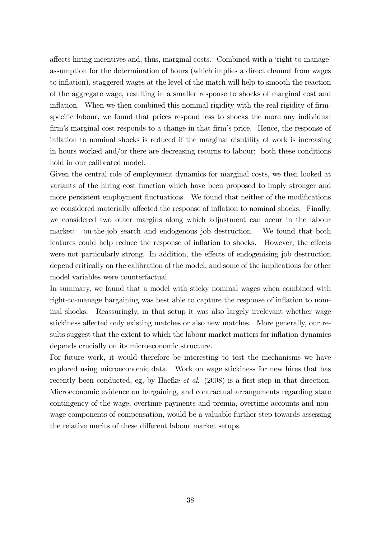affects hiring incentives and, thus, marginal costs. Combined with a 'right-to-manage' assumption for the determination of hours (which implies a direct channel from wages to inflation), staggered wages at the level of the match will help to smooth the reaction of the aggregate wage, resulting in a smaller response to shocks of marginal cost and inflation. When we then combined this nominal rigidity with the real rigidity of firmspecific labour, we found that prices respond less to shocks the more any individual firm's marginal cost responds to a change in that firm's price. Hence, the response of inflation to nominal shocks is reduced if the marginal disutility of work is increasing in hours worked and/or there are decreasing returns to labour; both these conditions hold in our calibrated model.

Given the central role of employment dynamics for marginal costs, we then looked at variants of the hiring cost function which have been proposed to imply stronger and more persistent employment fluctuations. We found that neither of the modifications we considered materially affected the response of inflation to nominal shocks. Finally, we considered two other margins along which adjustment can occur in the labour market: on-the-job search and endogenous job destruction. We found that both features could help reduce the response of inflation to shocks. However, the effects were not particularly strong. In addition, the effects of endogenising job destruction depend critically on the calibration of the model, and some of the implications for other model variables were counterfactual.

In summary, we found that a model with sticky nominal wages when combined with right-to-manage bargaining was best able to capture the response of inflation to nominal shocks. Reassuringly, in that setup it was also largely irrelevant whether wage stickiness affected only existing matches or also new matches. More generally, our results suggest that the extent to which the labour market matters for inflation dynamics depends crucially on its microeconomic structure.

For future work, it would therefore be interesting to test the mechanisms we have explored using microeconomic data. Work on wage stickiness for new hires that has recently been conducted, eg, by Haefke  $et \ al.$  (2008) is a first step in that direction. Microeconomic evidence on bargaining, and contractual arrangements regarding state contingency of the wage, overtime payments and premia, overtime accounts and nonwage components of compensation, would be a valuable further step towards assessing the relative merits of these different labour market setups.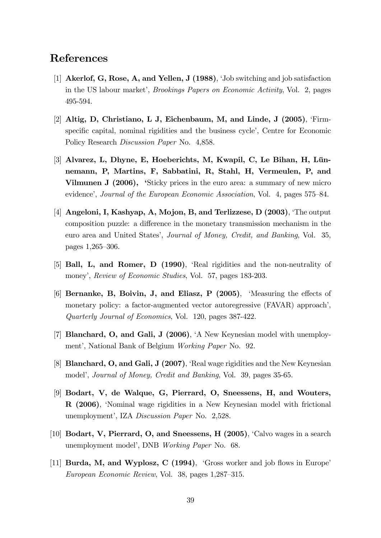## References

- [1] Akerlof, G, Rose, A, and Yellen, J (1988), ëJob switching and job satisfaction in the US labour market', *Brookings Papers on Economic Activity*, Vol. 2, pages 495-594.
- [2] Altig, D, Christiano, L J, Eichenbaum, M, and Linde, J  $(2005)$ , 'Firmspecific capital, nominal rigidities and the business cycle<sup>2</sup>, Centre for Economic Policy Research Discussion Paper No. 4,858.
- [3] Alvarez, L, Dhyne, E, Hoeberichts, M, Kwapil, C, Le Bihan, H, Lünnemann, P, Martins, F, Sabbatini, R, Stahl, H, Vermeulen, P, and Vilmunen J (2006), 'Sticky prices in the euro area: a summary of new micro evidence', Journal of the European Economic Association, Vol. 4, pages 575–84.
- [4] Angeloni, I, Kashyap, A, Mojon, B, and Terlizzese, D (2003), 'The output composition puzzle: a difference in the monetary transmission mechanism in the euro area and United States', Journal of Money, Credit, and Banking, Vol. 35, pages  $1,265 - 306$ .
- [5] **Ball, L, and Romer, D (1990)**, 'Real rigidities and the non-neutrality of money', Review of Economic Studies, Vol. 57, pages 183-203.
- [6] Bernanke, B, Boivin, J, and Eliasz, P  $(2005)$ , 'Measuring the effects of monetary policy: a factor-augmented vector autoregressive (FAVAR) approach', Quarterly Journal of Economics, Vol. 120, pages 387-422.
- [7] Blanchard, O, and Gali, J (2006), 'A New Keynesian model with unemployment', National Bank of Belgium Working Paper No. 92.
- [8] **Blanchard, O, and Gali, J (2007)**, 'Real wage rigidities and the New Keynesian model', Journal of Money, Credit and Banking, Vol. 39, pages 35-65.
- [9] Bodart, V, de Walque, G, Pierrard, O, Sneessens, H, and Wouters, R (2006), 'Nominal wage rigidities in a New Keynesian model with frictional unemployment', IZA Discussion Paper No. 2,528.
- [10] Bodart, V, Pierrard, O, and Sneessens, H  $(2005)$ , 'Calvo wages in a search unemployment model', DNB Working Paper No. 68.
- [11] Burda, M, and Wyplosz, C  $(1994)$ , 'Gross worker and job flows in Europe' European Economic Review, Vol. 38, pages 1,287–315.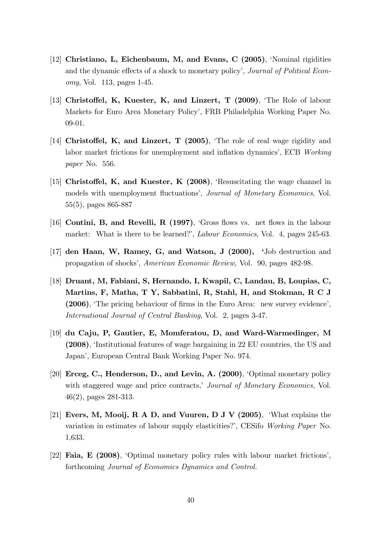- [12] Christiano, L, Eichenbaum, M, and Evans, C (2005), 'Nominal rigidities and the dynamic effects of a shock to monetary policy', Journal of Political Economy, Vol. 113, pages 1-45.
- [13] Christoffel, K, Kuester, K, and Linzert, T  $(2009)$ , The Role of labour Markets for Euro Area Monetary Policy', FRB Philadelphia Working Paper No. 09-01.
- [14] Christoffel, K, and Linzert, T  $(2005)$ , The role of real wage rigidity and labor market frictions for unemployment and inflation dynamics', ECB Working paper No. 556.
- [15] Christoffel, K, and Kuester, K  $(2008)$ , Resuscitating the wage channel in models with unemployment fluctuations', Journal of Monetary Economics, Vol. 55(5), pages 865-887
- [16] Contini, B, and Revelli, R  $(1997)$ , 'Gross flows vs. net flows in the labour market: What is there to be learned?', *Labour Economics*, Vol. 4, pages 245-63.
- $[17]$  den Haan, W, Ramey, G, and Watson, J  $(2000)$ , 'Job destruction and propagation of shocks', American Economic Review, Vol. 90, pages 482-98.
- [18] Druant, M, Fabiani, S, Hernando, I, Kwapil, C, Landau, B, Loupias, C, Martins, F, Matha, T Y, Sabbatini, R, Stahl, H, and Stokman, R C J  $(2006)$ , The pricing behaviour of firms in the Euro Area: new survey evidence', International Journal of Central Banking, Vol. 2, pages 3-47.
- [19] du Caju, P, Gautier, E, Momferatou, D, and Ward-Warmedinger, M (2008), ëInstitutional features of wage bargaining in 22 EU countries, the US and Japaní, European Central Bank Working Paper No. 974.
- [20] Erceg, C., Henderson, D., and Levin, A. (2000), ëOptimal monetary policy with staggered wage and price contracts, *Journal of Monetary Economics*, Vol. 46(2), pages 281-313.
- [21] Evers, M, Mooij, R A D, and Vuuren, D J V (2005), 'What explains the variation in estimates of labour supply elasticities?', CESifo Working Paper No. 1,633.
- [22] Faia, E (2008), 'Optimal monetary policy rules with labour market frictions', forthcoming Journal of Economics Dynamics and Control.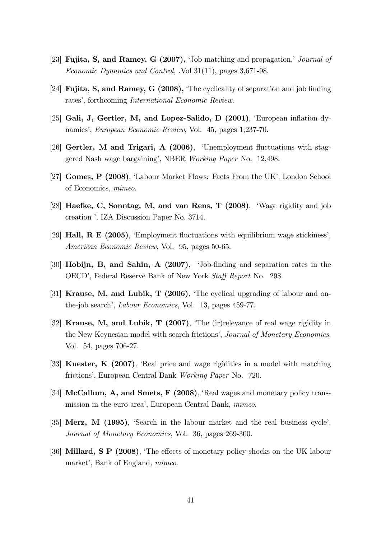- [23] Fujita, S, and Ramey, G  $(2007)$ , 'Job matching and propagation,' *Journal of* Economic Dynamics and Control, .Vol 31(11), pages 3,671-98.
- [24] **Fujita, S, and Ramey, G (2008),** The cyclicality of separation and job finding rates', forthcoming *International Economic Review.*
- [25] Gali, J, Gertler, M, and Lopez-Salido, D  $(2001)$ , European inflation dynamics', European Economic Review, Vol. 45, pages 1,237-70.
- [26] Gertler, M and Trigari, A  $(2006)$ , 'Unemployment fluctuations with staggered Nash wage bargaining', NBER Working Paper No. 12,498.
- [27] Gomes, P (2008), ëLabour Market Flows: Facts From the UKí, London School of Economics, mimeo.
- [28] Haefke, C, Sonntag, M, and van Rens, T (2008), ëWage rigidity and job creation ', IZA Discussion Paper No. 3714.
- [29] **Hall, R E (2005)**, 'Employment fluctuations with equilibrium wage stickiness', American Economic Review, Vol. 95, pages 50-65.
- [30] Hobijn, B, and Sahin, A (2007), 'Job-finding and separation rates in the OECD', Federal Reserve Bank of New York Staff Report No. 298.
- [31] **Krause, M, and Lubik, T (2006)**, 'The cyclical upgrading of labour and onthe-job search', *Labour Economics*, Vol. 13, pages 459-77.
- [32] Krause, M, and Lubik, T (2007), 'The (ir)relevance of real wage rigidity in the New Keynesian model with search frictions', Journal of Monetary Economics, Vol. 54, pages 706-27.
- [33] Kuester,  $K$  (2007), 'Real price and wage rigidities in a model with matching frictions', European Central Bank Working Paper No. 720.
- [34] McCallum, A, and Smets, F  $(2008)$ , 'Real wages and monetary policy transmission in the euro area', European Central Bank, mimeo.
- [35] Merz, M  $(1995)$ , 'Search in the labour market and the real business cycle', Journal of Monetary Economics, Vol. 36, pages 269-300.
- [36] Millard, S P (2008), The effects of monetary policy shocks on the UK labour market', Bank of England, *mimeo.*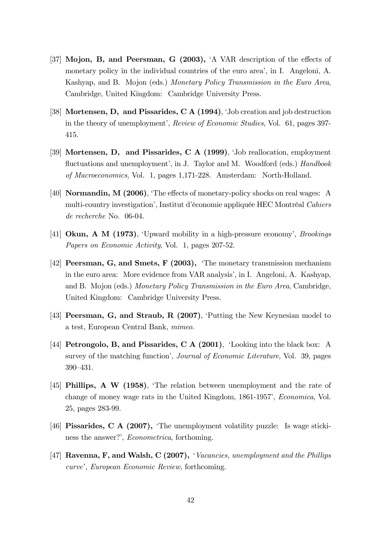- [37] Mojon, B, and Peersman, G (2003), 'A VAR description of the effects of monetary policy in the individual countries of the euro area', in I. Angeloni, A. Kashyap, and B. Mojon (eds.) Monetary Policy Transmission in the Euro Area, Cambridge, United Kingdom: Cambridge University Press.
- [38] Mortensen, D, and Pissarides, C A  $(1994)$ , Job creation and job destruction in the theory of unemployment', Review of Economic Studies, Vol. 61, pages 397-415.
- [39] Mortensen, D, and Pissarides, C A (1999), 'Job reallocation, employment fluctuations and unemployment', in J. Taylor and M. Woodford (eds.) Handbook of Macroeconomics, Vol. 1, pages 1,171-228. Amsterdam: North-Holland.
- [40] **Normandin, M (2006)**, 'The effects of monetary-policy shocks on real wages: A multi-country investigation', Institut d'économie appliquée HEC Montréal Cahiers de recherche No. 06-04.
- [41] **Okun, A M (1973)**, 'Upward mobility in a high-pressure economy', *Brookings* Papers on Economic Activity, Vol. 1, pages 207-52.
- [42] **Peersman, G, and Smets, F (2003),** The monetary transmission mechanism in the euro area: More evidence from VAR analysis', in I. Angeloni, A. Kashyap, and B. Mojon (eds.) Monetary Policy Transmission in the Euro Area, Cambridge, United Kingdom: Cambridge University Press.
- [43] **Peersman, G, and Straub, R (2007)**, Putting the New Keynesian model to a test, European Central Bank, mimeo.
- [44] **Petrongolo, B, and Pissarides, C A (2001)**, 'Looking into the black box: A survey of the matching function', *Journal of Economic Literature*, Vol. 39, pages 390-431.
- [45] Phillips, A W (1958), ëThe relation between unemployment and the rate of change of money wage rats in the United Kingdom, 1861-1957', Economica, Vol. 25, pages 283-99.
- [46] **Pissarides, C A (2007),** The unemployment volatility puzzle: Is wage stickiness the answer?', *Econometrica*, forthoming.
- [47] Ravenna, F, and Walsh, C (2007), *Vacancies, unemployment and the Phillips* curve', European Economic Review, forthcoming.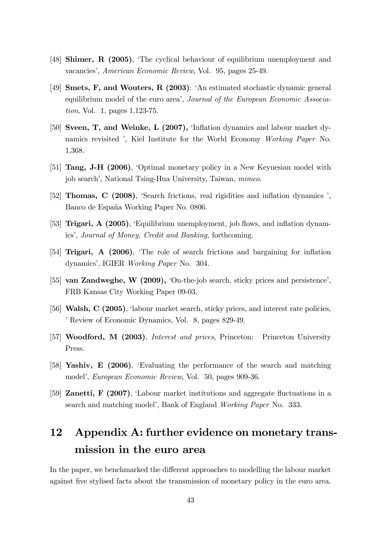- [48] Shimer, R (2005), 'The cyclical behaviour of equilibrium unemployment and vacancies', American Economic Review, Vol. 95, pages 25-49.
- [49] Smets, F, and Wouters, R (2003): ëAn estimated stochastic dynamic general equilibrium model of the euro area<sup>7</sup>, Journal of the European Economic Association, Vol. 1, pages 1,123-75.
- [50] Sveen, T, and Weinke, L  $(2007)$ , 'Inflation dynamics and labour market dynamics revisited ', Kiel Institute for the World Economy Working Paper No. 1,368.
- [51] **Tang, J-H (2006)**, Optimal monetary policy in a New Keynesian model with job search', National Tsing-Hua University, Taiwan, mimeo.
- [52] **Thomas, C (2008)**, 'Search frictions, real rigidities and inflation dynamics ', Banco de España Working Paper No. 0806.
- [53] **Trigari, A (2005)**, 'Equilibrium unemployment, job flows, and inflation dynamics', Journal of Money, Credit and Banking, forthcoming.
- [54] **Trigari, A (2006)**, 'The role of search frictions and bargaining for inflation dynamics', IGIER *Working Paper* No. 304.
- [55] van Zandweghe, W  $(2009)$ , 'On-the-job search, sticky prices and persistence', FRB Kansas City Working Paper 09-03.
- [56] Walsh, C (2005), 'labour market search, sticky prices, and interest rate policies, <sup>7</sup> Review of Economic Dynamics, Vol. 8, pages 829-49.
- [57] Woodford, M (2003), Interest and prices, Princeton: Princeton University Press.
- [58] Yashiv, E (2006), ëEvaluating the performance of the search and matching model', European Economic Review, Vol. 50, pages 909-36.
- [59] **Zanetti, F (2007)**, 'Labour market institutions and aggregate fluctuations in a search and matching model', Bank of England Working Paper No. 333.

# 12 Appendix A: further evidence on monetary transmission in the euro area

In the paper, we benchmarked the different approaches to modelling the labour market against Öve stylised facts about the transmission of monetary policy in the euro area.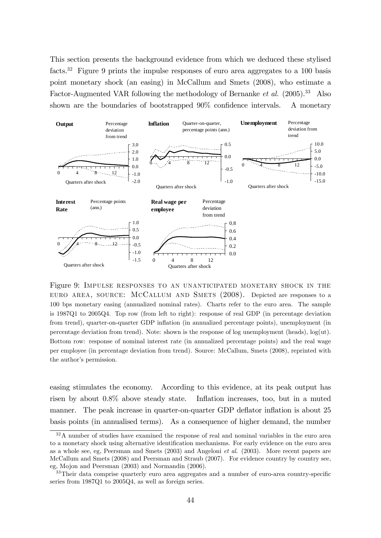This section presents the background evidence from which we deduced these stylised facts.<sup>32</sup> Figure 9 prints the impulse responses of euro area aggregates to a 100 basis point monetary shock (an easing) in McCallum and Smets (2008), who estimate a Factor-Augmented VAR following the methodology of Bernanke et al.  $(2005)$ .<sup>33</sup> Also shown are the boundaries of bootstrapped  $90\%$  confidence intervals. A monetary



Figure 9: Impulse responses to an unanticipated monetary shock in the EURO AREA, SOURCE: MCCALLUM AND SMETS (2008). Depicted are responses to a 100 bps monetary easing (annualized nominal rates). Charts refer to the euro area. The sample is 1987Q1 to 2005Q4. Top row (from left to right): response of real GDP (in percentage deviation from trend), quarter-on-quarter GDP inflation (in annualized percentage points), unemployment (in percentage deviation from trend). Note: shown is the response of log unemployment (heads),  $log(ut)$ . Bottom row: response of nominal interest rate (in annualized percentage points) and the real wage per employee (in percentage deviation from trend). Source: McCallum, Smets (2008), reprinted with the author's permission.

easing stimulates the economy. According to this evidence, at its peak output has risen by about  $0.8\%$  above steady state. Inflation increases, too, but in a muted manner. The peak increase in quarter-on-quarter GDP deflator inflation is about 25 basis points (in annualised terms). As a consequence of higher demand, the number

<sup>&</sup>lt;sup>32</sup>A number of studies have examined the response of real and nominal variables in the euro area to a monetary shock using alternative identification mechanisms. For early evidence on the euro area as a whole see, eg, Peersman and Smets (2003) and Angeloni et al. (2003). More recent papers are McCallum and Smets (2008) and Peersman and Straub (2007). For evidence country by country see, eg, Mojon and Peersman (2003) and Normandin (2006).

<sup>&</sup>lt;sup>33</sup>Their data comprise quarterly euro area aggregates and a number of euro-area country-specific series from 1987Q1 to 2005Q4, as well as foreign series.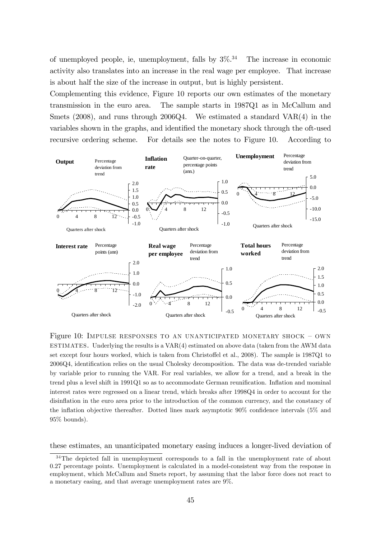of unemployed people, ie, unemployment, falls by  $3\%$ <sup>34</sup> The increase in economic activity also translates into an increase in the real wage per employee. That increase is about half the size of the increase in output, but is highly persistent.

Complementing this evidence, Figure 10 reports our own estimates of the monetary transmission in the euro area. The sample starts in 1987Q1 as in McCallum and Smets (2008), and runs through 2006Q4. We estimated a standard VAR(4) in the variables shown in the graphs, and identified the monetary shock through the oft-used recursive ordering scheme. For details see the notes to Figure 10. According to



Figure 10: IMPULSE RESPONSES TO AN UNANTICIPATED MONETARY SHOCK  $-$  OWN ESTIMATES. Underlying the results is a  $VAR(4)$  estimated on above data (taken from the AWM data set except four hours worked, which is taken from Christoffel et al., 2008). The sample is 1987Q1 to 2006Q4, identification relies on the usual Cholesky decomposition. The data was de-trended variable by variable prior to running the VAR. For real variables, we allow for a trend, and a break in the trend plus a level shift in 1991Q1 so as to accommodate German reunification. Inflation and mominal interest rates were regressed on a linear trend, which breaks after 1998Q4 in order to account for the disinflation in the euro area prior to the introduction of the common currency, and the constancy of the inflation objective thereafter. Dotted lines mark asymptotic  $90\%$  confidence intervals ( $5\%$  and 95% bounds).

these estimates, an unanticipated monetary easing induces a longer-lived deviation of

<sup>&</sup>lt;sup>34</sup>The depicted fall in unemployment corresponds to a fall in the unemployment rate of about 0.27 percentage points. Unemployment is calculated in a model-consistent way from the response in employment, which McCallum and Smets report, by assuming that the labor force does not react to a monetary easing, and that average unemployment rates are 9%.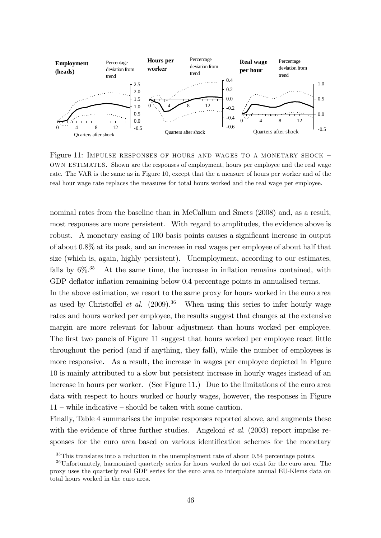

Figure 11: IMPULSE RESPONSES OF HOURS AND WAGES TO A MONETARY SHOCK  $$ own estimates. Shown are the responses of employment, hours per employee and the real wage rate. The VAR is the same as in Figure 10, except that the a measure of hours per worker and of the real hour wage rate replaces the measures for total hours worked and the real wage per employee.

nominal rates from the baseline than in McCallum and Smets (2008) and, as a result, most responses are more persistent. With regard to amplitudes, the evidence above is robust. A monetary easing of 100 basis points causes a significant increase in output of about 0.8% at its peak, and an increase in real wages per employee of about half that size (which is, again, highly persistent). Unemployment, according to our estimates, falls by  $6\%$ <sup>35</sup> At the same time, the increase in inflation remains contained, with GDP deflator inflation remaining below 0.4 percentage points in annualised terms.

In the above estimation, we resort to the same proxy for hours worked in the euro area as used by Christoffel *et al.*  $(2009)$ <sup>36</sup> When using this series to infer hourly wage rates and hours worked per employee, the results suggest that changes at the extensive margin are more relevant for labour adjustment than hours worked per employee. The first two panels of Figure 11 suggest that hours worked per employee react little throughout the period (and if anything, they fall), while the number of employees is more responsive. As a result, the increase in wages per employee depicted in Figure 10 is mainly attributed to a slow but persistent increase in hourly wages instead of an increase in hours per worker. (See Figure 11.) Due to the limitations of the euro area data with respect to hours worked or hourly wages, however, the responses in Figure  $11$  – while indicative – should be taken with some caution.

Finally, Table 4 summarises the impulse responses reported above, and augments these with the evidence of three further studies. Angeloni *et al.* (2003) report impulse responses for the euro area based on various identification schemes for the monetary

 $35$ This translates into a reduction in the unemployment rate of about 0.54 percentage points.

<sup>36</sup>Unfortunately, harmonized quarterly series for hours worked do not exist for the euro area. The proxy uses the quarterly real GDP series for the euro area to interpolate annual EU-Klems data on total hours worked in the euro area.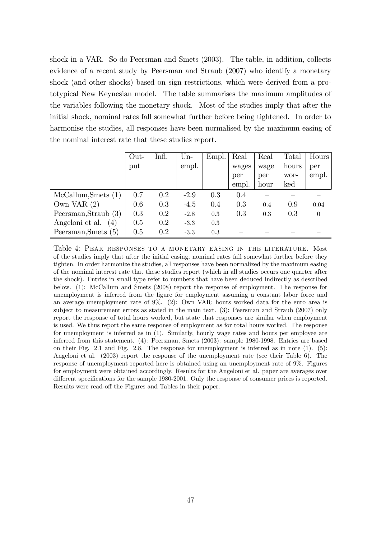shock in a VAR. So do Peersman and Smets (2003). The table, in addition, collects evidence of a recent study by Peersman and Straub (2007) who identify a monetary shock (and other shocks) based on sign restrictions, which were derived from a prototypical New Keynesian model. The table summarises the maximum amplitudes of the variables following the monetary shock. Most of the studies imply that after the initial shock, nominal rates fall somewhat further before being tightened. In order to harmonise the studies, all responses have been normalised by the maximum easing of the nominal interest rate that these studies report.

|                        | Out- | Infl. | $Un-$  | Empl. | Real  | Real | Total | Hours <sup>1</sup> |
|------------------------|------|-------|--------|-------|-------|------|-------|--------------------|
|                        | put  |       | empl.  |       | wages | wage | hours | per                |
|                        |      |       |        |       | per   | per  | wor-  | empl.              |
|                        |      |       |        |       | empl. | hour | ked   |                    |
| McCallum, Smets (1)    | 0.7  | 0.2   | $-2.9$ | 0.3   | 0.4   |      |       |                    |
| Own VAR $(2)$          | 0.6  | 0.3   | $-4.5$ | 0.4   | 0.3   | 0.4  | 0.9   | 0.04               |
| Peersman, Straub $(3)$ | 0.3  | 0.2   | $-2.8$ | 0.3   | 0.3   | 0.3  | 0.3   | $\Omega$           |
| Angeloni et al.<br>(4) | 0.5  | 0.2   | $-3.3$ | 0.3   |       |      |       |                    |
| Peersman, Smets (5)    | 0.5  | 0.2   | $-3.3$ | 0.3   |       |      |       |                    |

Table 4: Peak responses to a monetary easing in the literature. Most of the studies imply that after the initial easing, nominal rates fall somewhat further before they tighten. In order harmonize the studies, all responses have been normalized by the maximum easing of the nominal interest rate that these studies report (which in all studies occurs one quarter after the shock). Entries in small type refer to numbers that have been deduced indirectly as described below. (1): McCallum and Smets (2008) report the response of employment. The response for unemployment is inferred from the figure for employment assuming a constant labor force and an average unemployment rate of 9%. (2): Own VAR: hours worked data for the euro area is subject to measurement errors as stated in the main text. (3): Peersman and Straub (2007) only report the response of total hours worked, but state that responses are similar when employment is used. We thus report the same response of employment as for total hours worked. The response for unemployment is inferred as in (1). Similarly, hourly wage rates and hours per employee are inferred from this statement. (4): Peersman, Smets (2003): sample 1980-1998. Entries are based on their Fig. 2.1 and Fig. 2.8. The response for unemployment is inferred as in note (1). (5): Angeloni et al. (2003) report the response of the unemployment rate (see their Table 6). The response of unemployment reported here is obtained using an unemployment rate of 9%. Figures for employment were obtained accordingly. Results for the Angeloni et al. paper are averages over different specifications for the sample 1980-2001. Only the response of consumer prices is reported. Results were read-off the Figures and Tables in their paper.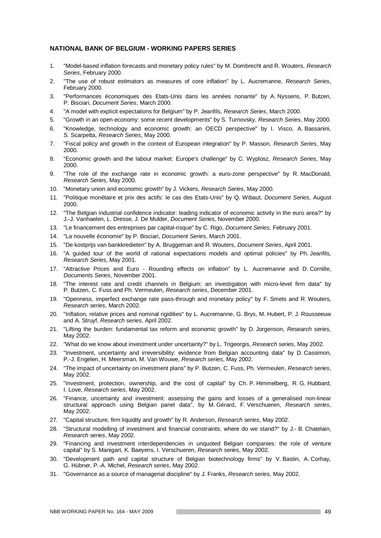#### **NATIONAL BANK OF BELGIUM - WORKING PAPERS SERIES**

- 1. "Model-based inflation forecasts and monetary policy rules" by M. Dombrecht and R. Wouters, *Research Series*, February 2000.
- 2. "The use of robust estimators as measures of core inflation" by L. Aucremanne, *Research Series*, February 2000.
- 3. "Performances économiques des Etats-Unis dans les années nonante" by A. Nyssens, P. Butzen, P. Bisciari, *Document Series*, March 2000.
- 4. "A model with explicit expectations for Belgium" by P. Jeanfils, *Research Series*, March 2000.
- 5. "Growth in an open economy: some recent developments" by S. Turnovsky, *Research Series*, May 2000.
- 6. "Knowledge, technology and economic growth: an OECD perspective" by I. Visco, A. Bassanini, S. Scarpetta, *Research Series*, May 2000.
- 7. "Fiscal policy and growth in the context of European integration" by P. Masson, *Research Series*, May 2000.
- 8. "Economic growth and the labour market: Europe's challenge" by C. Wyplosz, *Research Series*, May 2000.
- 9. "The role of the exchange rate in economic growth: a euro-zone perspective" by R. MacDonald, *Research Series*, May 2000.
- 10. "Monetary union and economic growth" by J. Vickers, *Research Series*, May 2000.
- 11. "Politique monétaire et prix des actifs: le cas des Etats-Unis" by Q. Wibaut, *Document Series*, August 2000.
- 12. "The Belgian industrial confidence indicator: leading indicator of economic activity in the euro area?" by J.-J. Vanhaelen, L. Dresse, J. De Mulder, *Document Series*, November 2000.
- 13. "Le financement des entreprises par capital-risque" by C. Rigo, *Document Series,* February 2001.
- 14. "La nouvelle économie" by P. Bisciari, *Document Series*, March 2001.
- 15. "De kostprijs van bankkredieten" by A. Bruggeman and R. Wouters, *Document Series*, April 2001.
- 16. "A guided tour of the world of rational expectations models and optimal policies" by Ph. Jeanfils, *Research Series*, May 2001.
- 17. "Attractive Prices and Euro Rounding effects on inflation" by L. Aucremanne and D. Cornille, *Documents Series*, November 2001.
- 18. "The interest rate and credit channels in Belgium: an investigation with micro-level firm data" by P. Butzen, C. Fuss and Ph. Vermeulen, *Research series*, December 2001.
- 19. "Openness, imperfect exchange rate pass-through and monetary policy" by F. Smets and R. Wouters, *Research series*, March 2002.
- 20. "Inflation, relative prices and nominal rigidities" by L. Aucremanne, G. Brys, M. Hubert, P. J. Rousseeuw and A. Struyf, *Research series*, April 2002.
- 21. "Lifting the burden: fundamental tax reform and economic growth" by D. Jorgenson, *Research series*, May 2002.
- 22. "What do we know about investment under uncertainty?" by L. Trigeorgis, *Research series*, May 2002.
- 23. "Investment, uncertainty and irreversibility: evidence from Belgian accounting data" by D. Cassimon, P.-J. Engelen, H. Meersman, M. Van Wouwe, *Research series*, May 2002.
- 24. "The impact of uncertainty on investment plans" by P. Butzen, C. Fuss, Ph. Vermeulen, *Research series*, May 2002.
- 25. "Investment, protection, ownership, and the cost of capital" by Ch. P. Himmelberg, R. G. Hubbard, I. Love, *Research series*, May 2002.
- 26. "Finance, uncertainty and investment: assessing the gains and losses of a generalised non-linear structural approach using Belgian panel data", by M. Gérard, F. Verschueren, *Research series*, May 2002.
- 27. "Capital structure, firm liquidity and growth" by R. Anderson, *Research series*, May 2002.
- 28. "Structural modelling of investment and financial constraints: where do we stand?" by J.- B. Chatelain, *Research series*, May 2002.
- 29. "Financing and investment interdependencies in unquoted Belgian companies: the role of venture capital" by S. Manigart, K. Baeyens, I. Verschueren, *Research series*, May 2002.
- 30. "Development path and capital structure of Belgian biotechnology firms" by V. Bastin, A. Corhay, G. Hübner, P.-A. Michel, *Research series*, May 2002.
- 31. "Governance as a source of managerial discipline" by J. Franks, *Research series*, May 2002.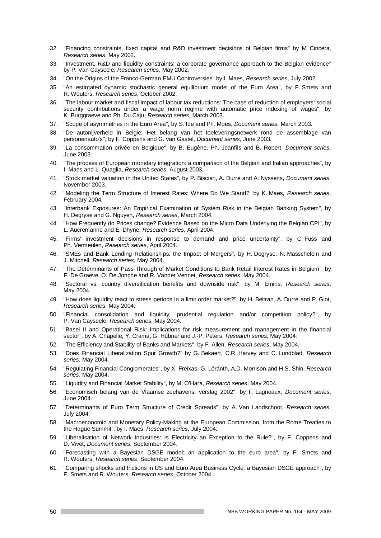- 32. "Financing constraints, fixed capital and R&D investment decisions of Belgian firms" by M. Cincera, *Research series*, May 2002.
- 33. "Investment, R&D and liquidity constraints: a corporate governance approach to the Belgian evidence" by P. Van Cayseele, *Research series*, May 2002.
- 34. "On the Origins of the Franco-German EMU Controversies" by I. Maes, *Research series*, July 2002.
- 35. "An estimated dynamic stochastic general equilibrium model of the Euro Area", by F. Smets and R. Wouters, *Research series*, October 2002.
- 36. "The labour market and fiscal impact of labour tax reductions: The case of reduction of employers' social security contributions under a wage norm regime with automatic price indexing of wages", by K. Burggraeve and Ph. Du Caju, *Research series*, March 2003.
- 37. "Scope of asymmetries in the Euro Area", by S. Ide and Ph. Moës, *Document series*, March 2003.
- 38. "De autonijverheid in België: Het belang van het toeleveringsnetwerk rond de assemblage van personenauto's", by F. Coppens and G. van Gastel, *Document series*, June 2003.
- 39. "La consommation privée en Belgique", by B. Eugène, Ph. Jeanfils and B. Robert, *Document series*, June 2003.
- 40. "The process of European monetary integration: a comparison of the Belgian and Italian approaches", by I. Maes and L. Quaglia, *Research series*, August 2003.
- 41. "Stock market valuation in the United States", by P. Bisciari, A. Durré and A. Nyssens, *Document series*, November 2003.
- 42. "Modeling the Term Structure of Interest Rates: Where Do We Stand?, by K. Maes, *Research series*, February 2004.
- 43. "Interbank Exposures: An Empirical Examination of System Risk in the Belgian Banking System", by H. Degryse and G. Nguyen, *Research series*, March 2004.
- 44. "How Frequently do Prices change? Evidence Based on the Micro Data Underlying the Belgian CPI", by L. Aucremanne and E. Dhyne, *Research series*, April 2004.
- 45. "Firms' investment decisions in response to demand and price uncertainty", by C. Fuss and Ph. Vermeulen, *Research series*, April 2004.
- 46. "SMEs and Bank Lending Relationships: the Impact of Mergers", by H. Degryse, N. Masschelein and J. Mitchell, *Research series*, May 2004.
- 47. "The Determinants of Pass-Through of Market Conditions to Bank Retail Interest Rates in Belgium", by F. De Graeve, O. De Jonghe and R. Vander Vennet, *Research series*, May 2004.
- 48. "Sectoral vs. country diversification benefits and downside risk", by M. Emiris, *Research series*, May 2004.
- 49. "How does liquidity react to stress periods in a limit order market?", by H. Beltran, A. Durré and P. Giot, *Research serie*s, May 2004.
- 50. "Financial consolidation and liquidity: prudential regulation and/or competition policy?", by P. Van Cayseele, *Research series*, May 2004.
- 51. "Basel II and Operational Risk: Implications for risk measurement and management in the financial sector", by A. Chapelle, Y. Crama, G. Hübner and J.-P. Peters, *Research series,* May 2004.
- 52. "The Efficiency and Stability of Banks and Markets", by F. Allen, *Research series*, May 2004.
- 53. "Does Financial Liberalization Spur Growth?" by G. Bekaert, C.R. Harvey and C. Lundblad, *Research series*, May 2004.
- 54. "Regulating Financial Conglomerates", by X. Freixas, G. Lóránth, A.D. Morrison and H.S. Shin, *Research series*, May 2004.
- 55. "Liquidity and Financial Market Stability", by M. O'Hara, *Research series*, May 2004.
- 56. "Economisch belang van de Vlaamse zeehavens: verslag 2002", by F. Lagneaux, *Document series*, June 2004.
- 57. "Determinants of Euro Term Structure of Credit Spreads", by A. Van Landschoot, *Research series*, July 2004.
- 58. "Macroeconomic and Monetary Policy-Making at the European Commission, from the Rome Treaties to the Hague Summit", by I. Maes, *Research series*, July 2004.
- 59. "Liberalisation of Network Industries: Is Electricity an Exception to the Rule?", by F. Coppens and D. Vivet, *Document series*, September 2004.
- 60. "Forecasting with a Bayesian DSGE model: an application to the euro area", by F. Smets and R. Wouters, *Research series*, September 2004.
- 61. "Comparing shocks and frictions in US and Euro Area Business Cycle: a Bayesian DSGE approach", by F. Smets and R. Wouters, *Research series*, October 2004.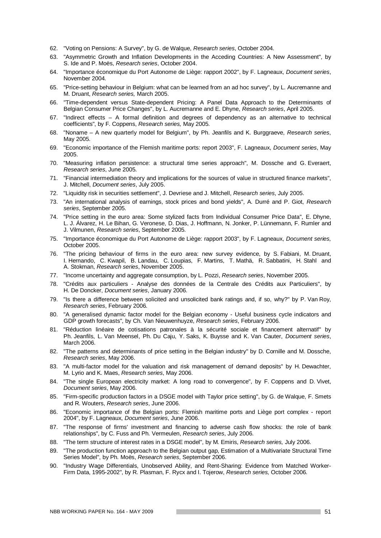- 62. "Voting on Pensions: A Survey", by G. de Walque, *Research series*, October 2004.
- 63. "Asymmetric Growth and Inflation Developments in the Acceding Countries: A New Assessment", by S. Ide and P. Moës, *Research series*, October 2004.
- 64. "Importance économique du Port Autonome de Liège: rapport 2002", by F. Lagneaux, *Document series*, November 2004.
- 65. "Price-setting behaviour in Belgium: what can be learned from an ad hoc survey", by L. Aucremanne and M. Druant, *Research series,* March 2005.
- 66. "Time-dependent versus State-dependent Pricing: A Panel Data Approach to the Determinants of Belgian Consumer Price Changes", by L. Aucremanne and E. Dhyne, *Research series*, April 2005.
- 67. "Indirect effects A formal definition and degrees of dependency as an alternative to technical coefficients", by F. Coppens, *Research series,* May 2005.
- 68. "Noname A new quarterly model for Belgium", by Ph. Jeanfils and K. Burggraeve, *Research series*, May 2005.
- 69. "Economic importance of the Flemish maritime ports: report 2003", F. Lagneaux, *Document series*, May 2005.
- 70. "Measuring inflation persistence: a structural time series approach", M. Dossche and G. Everaert, *Research series*, June 2005.
- 71. "Financial intermediation theory and implications for the sources of value in structured finance markets", J. Mitchell, *Document series*, July 2005.
- 72. "Liquidity risk in securities settlement", J. Devriese and J. Mitchell, *Research series*, July 2005.
- 73. "An international analysis of earnings, stock prices and bond yields", A. Durré and P. Giot, *Research series*, September 2005.
- 74. "Price setting in the euro area: Some stylized facts from Individual Consumer Price Data", E. Dhyne, L. J. Álvarez, H. Le Bihan, G. Veronese, D. Dias, J. Hoffmann, N. Jonker, P. Lünnemann, F. Rumler and J. Vilmunen, *Research series*, September 2005.
- 75. "Importance économique du Port Autonome de Liège: rapport 2003", by F. Lagneaux, *Document series,* October 2005.
- 76. "The pricing behaviour of firms in the euro area: new survey evidence, by S. Fabiani, M. Druant, I. Hernando, C. Kwapil, B. Landau, C. Loupias, F. Martins, T. Mathä, R. Sabbatini, H. Stahl and A. Stokman, *Research series*, November 2005.
- 77. "Income uncertainty and aggregate consumption, by L. Pozzi, *Research series*, November 2005.
- 78. "Crédits aux particuliers Analyse des données de la Centrale des Crédits aux Particuliers", by H. De Doncker, *Document series*, January 2006.
- 79. "Is there a difference between solicited and unsolicited bank ratings and, if so, why?" by P. Van Roy, *Research series*, February 2006.
- 80. "A generalised dynamic factor model for the Belgian economy Useful business cycle indicators and GDP growth forecasts", by Ch. Van Nieuwenhuyze, *Research series*, February 2006.
- 81. "Réduction linéaire de cotisations patronales à la sécurité sociale et financement alternatif" by Ph. Jeanfils, L. Van Meensel, Ph. Du Caju, Y. Saks, K. Buysse and K. Van Cauter, *Document series*, March 2006.
- 82. "The patterns and determinants of price setting in the Belgian industry" by D. Cornille and M. Dossche, *Research series*, May 2006.
- 83. "A multi-factor model for the valuation and risk management of demand deposits" by H. Dewachter, M. Lyrio and K. Maes, *Research series*, May 2006.
- 84. "The single European electricity market: A long road to convergence", by F. Coppens and D. Vivet, *Document series*, May 2006.
- 85. "Firm-specific production factors in a DSGE model with Taylor price setting", by G. de Walque, F. Smets and R. Wouters, *Research series*, June 2006.
- 86. "Economic importance of the Belgian ports: Flemish maritime ports and Liège port complex report 2004", by F. Lagneaux, *Document series*, June 2006.
- 87. "The response of firms' investment and financing to adverse cash flow shocks: the role of bank relationships", by C. Fuss and Ph. Vermeulen, *Research series*, July 2006.
- 88. "The term structure of interest rates in a DSGE model", by M. Emiris, *Research series,* July 2006.
- 89. "The production function approach to the Belgian output gap, Estimation of a Multivariate Structural Time Series Model", by Ph. Moës, *Research series*, September 2006.
- 90. "Industry Wage Differentials, Unobserved Ability, and Rent-Sharing: Evidence from Matched Worker-Firm Data, 1995-2002", by R. Plasman, F. Rycx and I. Tojerow, *Research series,* October 2006.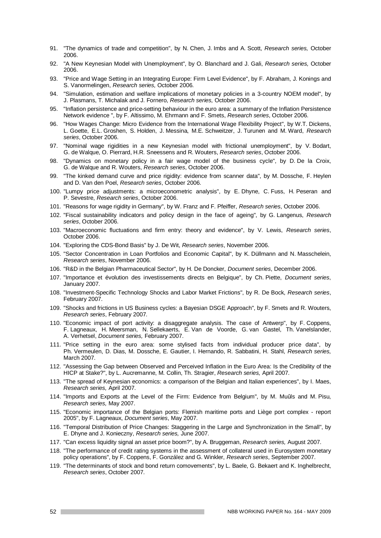- 91. "The dynamics of trade and competition", by N. Chen, J. Imbs and A. Scott, *Research series,* October 2006.
- 92. "A New Keynesian Model with Unemployment", by O. Blanchard and J. Gali, *Research series,* October 2006.
- 93. "Price and Wage Setting in an Integrating Europe: Firm Level Evidence", by F. Abraham, J. Konings and S. Vanormelingen, *Research series,* October 2006.
- 94. "Simulation, estimation and welfare implications of monetary policies in a 3-country NOEM model", by J. Plasmans, T. Michalak and J. Fornero, *Research series,* October 2006.
- 95. "Inflation persistence and price-setting behaviour in the euro area: a summary of the Inflation Persistence Network evidence ", by F. Altissimo, M. Ehrmann and F. Smets, *Research series*, October 2006.
- 96. "How Wages Change: Micro Evidence from the International Wage Flexibility Project", by W.T. Dickens, L. Goette, E.L. Groshen, S. Holden, J. Messina, M.E. Schweitzer, J. Turunen and M. Ward, *Research series*, October 2006.
- 97. "Nominal wage rigidities in a new Keynesian model with frictional unemployment", by V. Bodart, G. de Walque, O. Pierrard, H.R. Sneessens and R. Wouters, *Research series*, October 2006.
- 98. "Dynamics on monetary policy in a fair wage model of the business cycle", by D. De la Croix, G. de Walque and R. Wouters, *Research series*, October 2006.
- 99. "The kinked demand curve and price rigidity: evidence from scanner data", by M. Dossche, F. Heylen and D. Van den Poel, *Research series*, October 2006.
- 100. "Lumpy price adjustments: a microeconometric analysis", by E. Dhyne, C. Fuss, H. Peseran and P. Sevestre, *Research series*, October 2006.
- 101. "Reasons for wage rigidity in Germany", by W. Franz and F. Pfeiffer, *Research series*, October 2006.
- 102. "Fiscal sustainability indicators and policy design in the face of ageing", by G. Langenus, *Research series*, October 2006.
- 103. "Macroeconomic fluctuations and firm entry: theory and evidence", by V. Lewis, *Research series*, October 2006.
- 104. "Exploring the CDS-Bond Basis" by J. De Wit, *Research series*, November 2006.
- 105. "Sector Concentration in Loan Portfolios and Economic Capital", by K. Düllmann and N. Masschelein, *Research series*, November 2006.
- 106. "R&D in the Belgian Pharmaceutical Sector", by H. De Doncker, *Document series*, December 2006.
- 107. "Importance et évolution des investissements directs en Belgique", by Ch. Piette, *Document series*, January 2007.
- 108. "Investment-Specific Technology Shocks and Labor Market Frictions", by R. De Bock, *Research series*, February 2007.
- 109. "Shocks and frictions in US Business cycles: a Bayesian DSGE Approach", by F. Smets and R. Wouters, *Research series*, February 2007.
- 110. "Economic impact of port activity: a disaggregate analysis. The case of Antwerp", by F. Coppens, F. Lagneaux, H. Meersman, N. Sellekaerts, E. Van de Voorde, G. van Gastel, Th. Vanelslander, A. Verhetsel, *Document series,* February 2007.
- 111. "Price setting in the euro area: some stylised facts from individual producer price data", by Ph. Vermeulen, D. Dias, M. Dossche, E. Gautier, I. Hernando, R. Sabbatini, H. Stahl, *Research series,* March 2007.
- 112. "Assessing the Gap between Observed and Perceived Inflation in the Euro Area: Is the Credibility of the HICP at Stake?", by L. Aucremanne, M. Collin, Th. Stragier, *Research series,* April 2007.
- 113. "The spread of Keynesian economics: a comparison of the Belgian and Italian experiences", by I. Maes, *Research series,* April 2007.
- 114. "Imports and Exports at the Level of the Firm: Evidence from Belgium", by M. Muûls and M. Pisu, *Research series,* May 2007.
- 115. "Economic importance of the Belgian ports: Flemish maritime ports and Liège port complex report 2005", by F. Lagneaux, *Document series*, May 2007.
- 116. "Temporal Distribution of Price Changes: Staggering in the Large and Synchronization in the Small", by E. Dhyne and J. Konieczny, *Research series,* June 2007.
- 117. "Can excess liquidity signal an asset price boom?", by A. Bruggeman, *Research series,* August 2007.
- 118. "The performance of credit rating systems in the assessment of collateral used in Eurosystem monetary policy operations", by F. Coppens, F. González and G. Winkler, *Research series*, September 2007.
- 119. "The determinants of stock and bond return comovements", by L. Baele, G. Bekaert and K. Inghelbrecht, *Research series*, October 2007.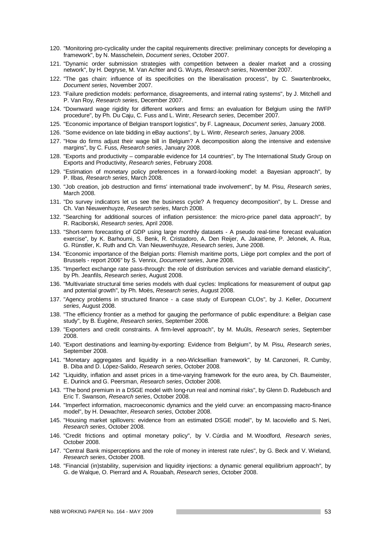- 120. "Monitoring pro-cyclicality under the capital requirements directive: preliminary concepts for developing a framework", by N. Masschelein, *Document series*, October 2007.
- 121. "Dynamic order submission strategies with competition between a dealer market and a crossing network", by H. Degryse, M. Van Achter and G. Wuyts, *Research series*, November 2007.
- 122. "The gas chain: influence of its specificities on the liberalisation process", by C. Swartenbroekx, *Document series*, November 2007.
- 123. "Failure prediction models: performance, disagreements, and internal rating systems", by J. Mitchell and P. Van Roy, *Research series*, December 2007.
- 124. "Downward wage rigidity for different workers and firms: an evaluation for Belgium using the IWFP procedure", by Ph. Du Caju, C. Fuss and L. Wintr, *Research series*, December 2007.
- 125. "Economic importance of Belgian transport logistics", by F. Lagneaux, *Document series*, January 2008.
- 126. "Some evidence on late bidding in eBay auctions", by L. Wintr, *Research series*, January 2008.
- 127. "How do firms adjust their wage bill in Belgium? A decomposition along the intensive and extensive margins", by C. Fuss, *Research series*, January 2008.
- 128. "Exports and productivity comparable evidence for 14 countries", by The International Study Group on Exports and Productivity, *Research series*, February 2008.
- 129. "Estimation of monetary policy preferences in a forward-looking model: a Bayesian approach", by P. Ilbas, *Research series*, March 2008.
- 130. "Job creation, job destruction and firms' international trade involvement", by M. Pisu, *Research series*, March 2008.
- 131. "Do survey indicators let us see the business cycle? A frequency decomposition", by L. Dresse and Ch. Van Nieuwenhuyze, *Research series*, March 2008.
- 132. "Searching for additional sources of inflation persistence: the micro-price panel data approach", by R. Raciborski, *Research series,* April 2008.
- 133. "Short-term forecasting of GDP using large monthly datasets A pseudo real-time forecast evaluation exercise", by K. Barhoumi, S. Benk, R. Cristadoro, A. Den Reijer, A. Jakaitiene, P. Jelonek, A. Rua, G. Rünstler, K. Ruth and Ch. Van Nieuwenhuyze, *Research series*, June 2008.
- 134. "Economic importance of the Belgian ports: Flemish maritime ports, Liège port complex and the port of Brussels - report 2006" by S. Vennix, *Document series*, June 2008.
- 135. "Imperfect exchange rate pass-through: the role of distribution services and variable demand elasticity", by Ph. Jeanfils, *Research series*, August 2008.
- 136. "Multivariate structural time series models with dual cycles: Implications for measurement of output gap and potential growth", by Ph. Moës, *Research series*, August 2008.
- 137. "Agency problems in structured finance a case study of European CLOs", by J. Keller, *Document series*, August 2008.
- 138. "The efficiency frontier as a method for gauging the performance of public expenditure: a Belgian case study", by B. Eugène, *Research series*, September 2008.
- 139. "Exporters and credit constraints. A firm-level approach", by M. Muûls, *Research series*, September 2008.
- 140. "Export destinations and learning-by-exporting: Evidence from Belgium", by M. Pisu, *Research series*, September 2008.
- 141. "Monetary aggregates and liquidity in a neo-Wicksellian framework", by M. Canzoneri, R. Cumby, B. Diba and D. López-Salido, *Research series*, October 2008.
- 142 "Liquidity, inflation and asset prices in a time-varying framework for the euro area, by Ch. Baumeister, E. Durinck and G. Peersman, *Research series*, October 2008.
- 143. "The bond premium in a DSGE model with long-run real and nominal risks", by Glenn D. Rudebusch and Eric T. Swanson, *Research series*, October 2008.
- 144. "Imperfect information, macroeconomic dynamics and the yield curve: an encompassing macro-finance model", by H. Dewachter, *Research series*, October 2008.
- 145. "Housing market spillovers: evidence from an estimated DSGE model", by M. Iacoviello and S. Neri, *Research series*, October 2008.
- 146. "Credit frictions and optimal monetary policy", by V. Cúrdia and M. Woodford, *Research series*, October 2008.
- 147. "Central Bank misperceptions and the role of money in interest rate rules", by G. Beck and V. Wieland*, Research series*, October 2008.
- 148. "Financial (in)stability, supervision and liquidity injections: a dynamic general equilibrium approach", by G. de Walque, O. Pierrard and A. Rouabah, *Research series*, October 2008.